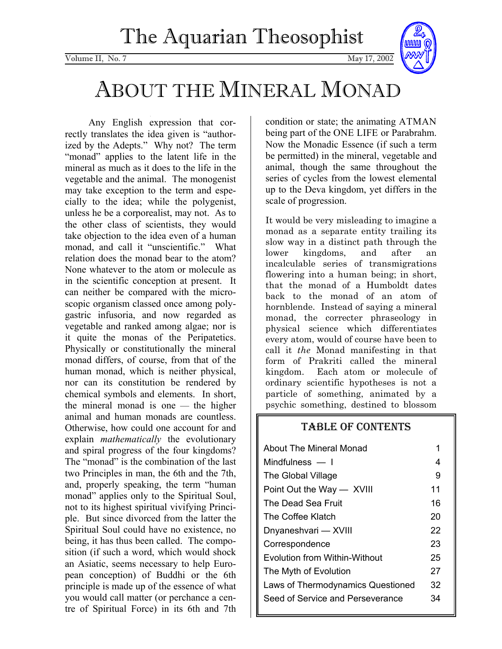Volume II, No. 7 May 17, 2002



Any English expression that correctly translates the idea given is "authorized by the Adepts." Why not? The term "monad" applies to the latent life in the mineral as much as it does to the life in the vegetable and the animal. The monogenist may take exception to the term and especially to the idea; while the polygenist, unless he be a corporealist, may not. As to the other class of scientists, they would take objection to the idea even of a human monad, and call it "unscientific." What relation does the monad bear to the atom? None whatever to the atom or molecule as in the scientific conception at present. It can neither be compared with the microscopic organism classed once among polygastric infusoria, and now regarded as vegetable and ranked among algae; nor is it quite the monas of the Peripatetics. Physically or constitutionally the mineral monad differs, of course, from that of the human monad, which is neither physical, nor can its constitution be rendered by chemical symbols and elements. In short, the mineral monad is one — the higher animal and human monads are countless. Otherwise, how could one account for and explain *mathematically* the evolutionary and spiral progress of the four kingdoms? The "monad" is the combination of the last two Principles in man, the 6th and the 7th, and, properly speaking, the term "human monad" applies only to the Spiritual Soul, not to its highest spiritual vivifying Principle. But since divorced from the latter the Spiritual Soul could have no existence, no being, it has thus been called. The composition (if such a word, which would shock an Asiatic, seems necessary to help European conception) of Buddhi or the 6th principle is made up of the essence of what you would call matter (or perchance a centre of Spiritual Force) in its 6th and 7th

condition or state; the animating ATMAN being part of the ONE LIFE or Parabrahm. Now the Monadic Essence (if such a term be permitted) in the mineral, vegetable and animal, though the same throughout the series of cycles from the lowest elemental up to the Deva kingdom, yet differs in the scale of progression.

It would be very misleading to imagine a monad as a separate entity trailing its slow way in a distinct path through the lower kingdoms, and after an incalculable series of transmigrations flowering into a human being; in short, that the monad of a Humboldt dates back to the monad of an atom of hornblende. Instead of saying a mineral monad, the correcter phraseology in physical science which differentiates every atom, would of course have been to call it *the* Monad manifesting in that form of Prakriti called the mineral kingdom. Each atom or molecule of ordinary scientific hypotheses is not a particle of something, animated by a psychic something, destined to blossom

#### TABLE OF CONTENTS

| About The Mineral Monad           |    |
|-----------------------------------|----|
| Mindfulness — I                   | 4  |
| The Global Village                | 9  |
| Point Out the Way - XVIII         | 11 |
| The Dead Sea Fruit                | 16 |
| The Coffee Klatch                 | 20 |
| Dnyaneshvari — XVIII              | 22 |
| Correspondence                    | 23 |
| Evolution from Within-Without     | 25 |
| The Myth of Evolution             | 27 |
| Laws of Thermodynamics Questioned | 32 |
| Seed of Service and Perseverance  | 34 |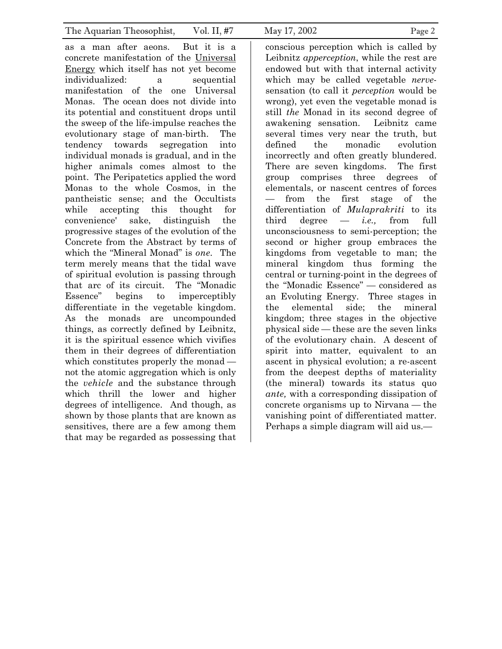as a man after aeons. But it is a concrete manifestation of the Universal Energy which itself has not yet become individualized: a sequential manifestation of the one Universal Monas. The ocean does not divide into its potential and constituent drops until the sweep of the life-impulse reaches the evolutionary stage of man-birth. The tendency towards segregation into individual monads is gradual, and in the higher animals comes almost to the point. The Peripatetics applied the word Monas to the whole Cosmos, in the pantheistic sense; and the Occultists while accepting this thought for convenience' sake, distinguish the progressive stages of the evolution of the Concrete from the Abstract by terms of which the "Mineral Monad" is *one.* The term merely means that the tidal wave of spiritual evolution is passing through that arc of its circuit. The "Monadic Essence" begins to imperceptibly differentiate in the vegetable kingdom. As the monads are uncompounded things, as correctly defined by Leibnitz, it is the spiritual essence which vivifies them in their degrees of differentiation which constitutes properly the monad not the atomic aggregation which is only the *vehicle* and the substance through which thrill the lower and higher degrees of intelligence. And though, as shown by those plants that are known as sensitives, there are a few among them that may be regarded as possessing that

conscious perception which is called by Leibnitz *apperception*, while the rest are endowed but with that internal activity which may be called vegetable *nerve*sensation (to call it *perception* would be wrong), yet even the vegetable monad is still *the* Monad in its second degree of awakening sensation. Leibnitz came several times very near the truth, but defined the monadic evolution incorrectly and often greatly blundered. There are seven kingdoms. The first group comprises three degrees of elementals, or nascent centres of forces — from the first stage of the differentiation of *Mulaprakriti* to its third degree — *i.e.,* from full unconsciousness to semi-perception; the second or higher group embraces the kingdoms from vegetable to man; the mineral kingdom thus forming the central or turning-point in the degrees of the "Monadic Essence" — considered as an Evoluting Energy. Three stages in the elemental side; the mineral kingdom; three stages in the objective physical side — these are the seven links of the evolutionary chain. A descent of spirit into matter, equivalent to an ascent in physical evolution; a re-ascent from the deepest depths of materiality (the mineral) towards its status quo *ante,* with a corresponding dissipation of concrete organisms up to Nirvana — the vanishing point of differentiated matter. Perhaps a simple diagram will aid us.—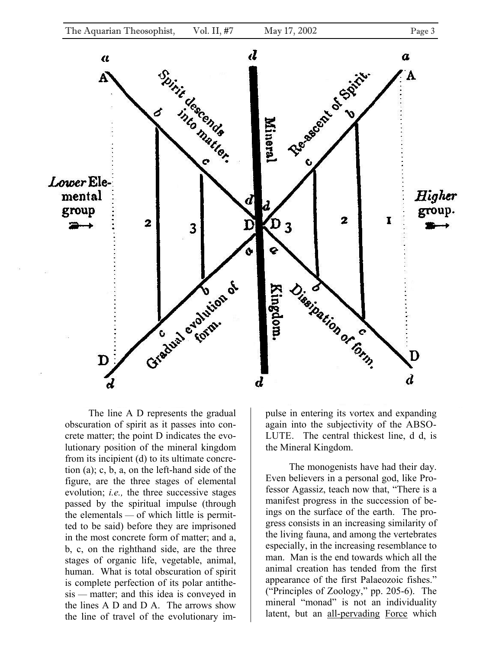

The line A D represents the gradual obscuration of spirit as it passes into concrete matter; the point D indicates the evolutionary position of the mineral kingdom from its incipient (d) to its ultimate concretion (a); c, b, a, on the left-hand side of the figure, are the three stages of elemental evolution; *i.e.,* the three successive stages passed by the spiritual impulse (through the elementals — of which little is permitted to be said) before they are imprisoned in the most concrete form of matter; and a, b, c, on the righthand side, are the three stages of organic life, vegetable, animal, human. What is total obscuration of spirit is complete perfection of its polar antithesis — matter; and this idea is conveyed in the lines A D and D A. The arrows show the line of travel of the evolutionary im-

pulse in entering its vortex and expanding again into the subjectivity of the ABSO-LUTE. The central thickest line, d d, is the Mineral Kingdom.

The monogenists have had their day. Even believers in a personal god, like Professor Agassiz, teach now that, "There is a manifest progress in the succession of beings on the surface of the earth. The progress consists in an increasing similarity of the living fauna, and among the vertebrates especially, in the increasing resemblance to man. Man is the end towards which all the animal creation has tended from the first appearance of the first Palaeozoic fishes." ("Principles of Zoology," pp. 205-6). The mineral "monad" is not an individuality latent, but an all-pervading Force which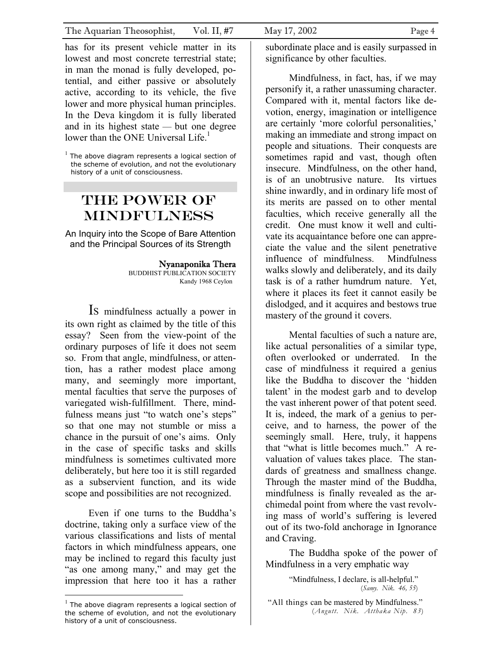has for its present vehicle matter in its lowest and most concrete terrestrial state; in man the monad is fully developed, potential, and either passive or absolutely active, according to its vehicle, the five lower and more physical human principles. In the Deva kingdom it is fully liberated and in its highest state — but one degree lower than the ONE Universal Life.<sup>1</sup>

 $1$  The above diagram represents a logical section of the scheme of evolution, and not the evolutionary history of a unit of consciousness.

# THE POWER OF MINDFULNESS

An Inquiry into the Scope of Bare Attention and the Principal Sources of its Strength

> Nyanaponika Thera BUDDHIST PUBLICATION SOCIETY Kandy 1968 Ceylon

IS mindfulness actually a power in its own right as claimed by the title of this essay? Seen from the view-point of the ordinary purposes of life it does not seem so. From that angle, mindfulness, or attention, has a rather modest place among many, and seemingly more important, mental faculties that serve the purposes of variegated wish-fulfillment. There, mindfulness means just "to watch one's steps" so that one may not stumble or miss a chance in the pursuit of one's aims. Only in the case of specific tasks and skills mindfulness is sometimes cultivated more deliberately, but here too it is still regarded as a subservient function, and its wide scope and possibilities are not recognized.

Even if one turns to the Buddha's doctrine, taking only a surface view of the various classifications and lists of mental factors in which mindfulness appears, one may be inclined to regard this faculty just "as one among many," and may get the impression that here too it has a rather

<span id="page-3-0"></span>  $1$  The above diagram represents a logical section of the scheme of evolution, and not the evolutionary history of a unit of consciousness.

subordinate place and is easily surpassed in significance by other faculties.

Mindfulness, in fact, has, if we may personify it, a rather unassuming character. Compared with it, mental factors like devotion, energy, imagination or intelligence are certainly 'more colorful personalities,' making an immediate and strong impact on people and situations. Their conquests are sometimes rapid and vast, though often insecure. Mindfulness, on the other hand, is of an unobtrusive nature. Its virtues shine inwardly, and in ordinary life most of its merits are passed on to other mental faculties, which receive generally all the credit. One must know it well and cultivate its acquaintance before one can appreciate the value and the silent penetrative influence of mindfulness. Mindfulness walks slowly and deliberately, and its daily task is of a rather humdrum nature. Yet, where it places its feet it cannot easily be dislodged, and it acquires and bestows true mastery of the ground it covers.

Mental faculties of such a nature are, like actual personalities of a similar type, often overlooked or underrated. In the case of mindfulness it required a genius like the Buddha to discover the 'hidden talent' in the modest garb and to develop the vast inherent power of that potent seed. It is, indeed, the mark of a genius to perceive, and to harness, the power of the seemingly small. Here, truly, it happens that "what is little becomes much." A revaluation of values takes place. The standards of greatness and smallness change. Through the master mind of the Buddha, mindfulness is finally revealed as the archimedal point from where the vast revolving mass of world's suffering is levered out of its two-fold anchorage in Ignorance and Craving.

The Buddha spoke of the power of Mindfulness in a very emphatic way

> "Mindfulness, I declare, is all-helpful." (*Samy. Nik. 46, 55*)

<sup>&</sup>quot;All things can be mastered by Mindfulness." (*Angutt. Nik. Atthaka Nip. 83*)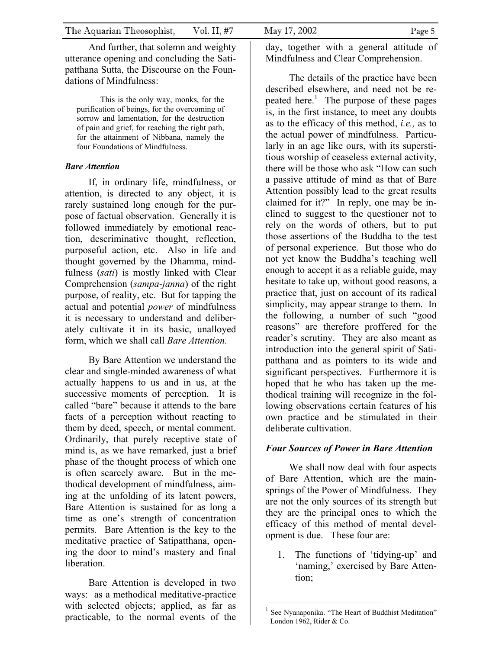And further, that solemn and weighty utterance opening and concluding the Satipatthana Sutta, the Discourse on the Foundations of Mindfulness:

This is the only way, monks, for the purification of beings, for the overcoming of sorrow and lamentation, for the destruction of pain and grief, for reaching the right path, for the attainment of Nibbana, namely the four Foundations of Mindfulness.

#### *Bare Attention*

If, in ordinary life, mindfulness, or attention, is directed to any object, it is rarely sustained long enough for the purpose of factual observation. Generally it is followed immediately by emotional reaction, descriminative thought, reflection, purposeful action, etc. Also in life and thought governed by the Dhamma, mindfulness (*sati*) is mostly linked with Clear Comprehension (*sampa-janna*) of the right purpose, of reality, etc. But for tapping the actual and potential *power* of mindfulness it is necessary to understand and deliberately cultivate it in its basic, unalloyed form, which we shall call *Bare Attention.*

By Bare Attention we understand the clear and single-minded awareness of what actually happens to us and in us, at the successive moments of perception. It is called "bare" because it attends to the bare facts of a perception without reacting to them by deed, speech, or mental comment. Ordinarily, that purely receptive state of mind is, as we have remarked, just a brief phase of the thought process of which one is often scarcely aware. But in the methodical development of mindfulness, aiming at the unfolding of its latent powers, Bare Attention is sustained for as long a time as one's strength of concentration permits. Bare Attention is the key to the meditative practice of Satipatthana, opening the door to mind's mastery and final liberation.

Bare Attention is developed in two ways: as a methodical meditative-practice with selected objects; applied, as far as practicable, to the normal events of the

day, together with a general attitude of Mindfulness and Clear Comprehension.

The details of the practice have been described elsewhere, and need not be repeated here.<sup>1</sup> The purpose of these pages is, in the first instance, to meet any doubts as to the efficacy of this method, *i.e.,* as to the actual power of mindfulness. Particularly in an age like ours, with its superstitious worship of ceaseless external activity, there will be those who ask "How can such a passive attitude of mind as that of Bare Attention possibly lead to the great results claimed for it?" In reply, one may be inclined to suggest to the questioner not to rely on the words of others, but to put those assertions of the Buddha to the test of personal experience. But those who do not yet know the Buddha's teaching well enough to accept it as a reliable guide, may hesitate to take up, without good reasons, a practice that, just on account of its radical simplicity, may appear strange to them. In the following, a number of such "good reasons" are therefore proffered for the reader's scrutiny. They are also meant as introduction into the general spirit of Satipatthana and as pointers to its wide and significant perspectives. Furthermore it is hoped that he who has taken up the methodical training will recognize in the following observations certain features of his own practice and be stimulated in their deliberate cultivation.

#### *Four Sources of Power in Bare Attention*

We shall now deal with four aspects of Bare Attention, which are the mainsprings of the Power of Mindfulness. They are not the only sources of its strength but they are the principal ones to which the efficacy of this method of mental development is due. These four are:

1. The functions of 'tidying-up' and 'naming,' exercised by Bare Attention;

<span id="page-4-0"></span>See Nyanaponika. "The Heart of Buddhist Meditation" London 1962, Rider & Co.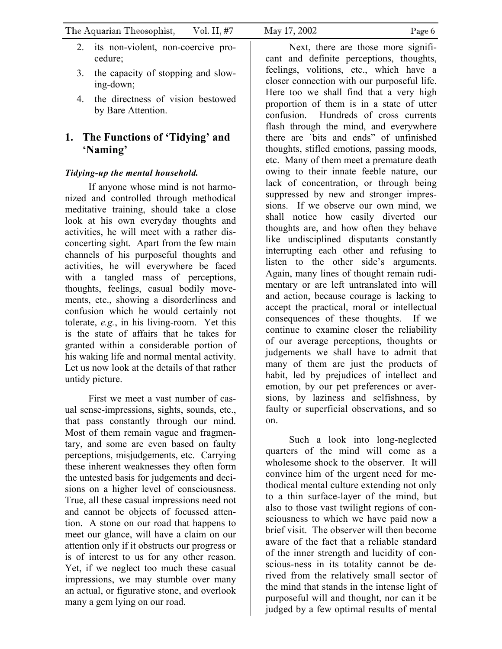- 2. its non-violent, non-coercive procedure;
- 3. the capacity of stopping and slowing-down;
- 4. the directness of vision bestowed by Bare Attention.

#### **1. The Functions of 'Tidying' and 'Naming'**

#### *Tidying-up the mental household.*

If anyone whose mind is not harmonized and controlled through methodical meditative training, should take a close look at his own everyday thoughts and activities, he will meet with a rather disconcerting sight. Apart from the few main channels of his purposeful thoughts and activities, he will everywhere be faced with a tangled mass of perceptions, thoughts, feelings, casual bodily movements, etc., showing a disorderliness and confusion which he would certainly not tolerate, *e.g.*, in his living-room. Yet this is the state of affairs that he takes for granted within a considerable portion of his waking life and normal mental activity. Let us now look at the details of that rather untidy picture.

First we meet a vast number of casual sense-impressions, sights, sounds, etc., that pass constantly through our mind. Most of them remain vague and fragmentary, and some are even based on faulty perceptions, misjudgements, etc. Carrying these inherent weaknesses they often form the untested basis for judgements and decisions on a higher level of consciousness. True, all these casual impressions need not and cannot be objects of focussed attention. A stone on our road that happens to meet our glance, will have a claim on our attention only if it obstructs our progress or is of interest to us for any other reason. Yet, if we neglect too much these casual impressions, we may stumble over many an actual, or figurative stone, and overlook many a gem lying on our road.

Next, there are those more significant and definite perceptions, thoughts, feelings, volitions, etc., which have a closer connection with our purposeful life. Here too we shall find that a very high proportion of them is in a state of utter confusion. Hundreds of cross currents flash through the mind, and everywhere there are `bits and ends" of unfinished thoughts, stifled emotions, passing moods, etc. Many of them meet a premature death owing to their innate feeble nature, our lack of concentration, or through being suppressed by new and stronger impressions. If we observe our own mind, we shall notice how easily diverted our thoughts are, and how often they behave like undisciplined disputants constantly interrupting each other and refusing to listen to the other side's arguments. Again, many lines of thought remain rudimentary or are left untranslated into will and action, because courage is lacking to accept the practical, moral or intellectual consequences of these thoughts. If we continue to examine closer the reliability of our average perceptions, thoughts or judgements we shall have to admit that many of them are just the products of habit, led by prejudices of intellect and emotion, by our pet preferences or aversions, by laziness and selfishness, by faulty or superficial observations, and so on.

Such a look into long-neglected quarters of the mind will come as a wholesome shock to the observer. It will convince him of the urgent need for methodical mental culture extending not only to a thin surface-layer of the mind, but also to those vast twilight regions of consciousness to which we have paid now a brief visit. The observer will then become aware of the fact that a reliable standard of the inner strength and lucidity of conscious-ness in its totality cannot be derived from the relatively small sector of the mind that stands in the intense light of purposeful will and thought, nor can it be judged by a few optimal results of mental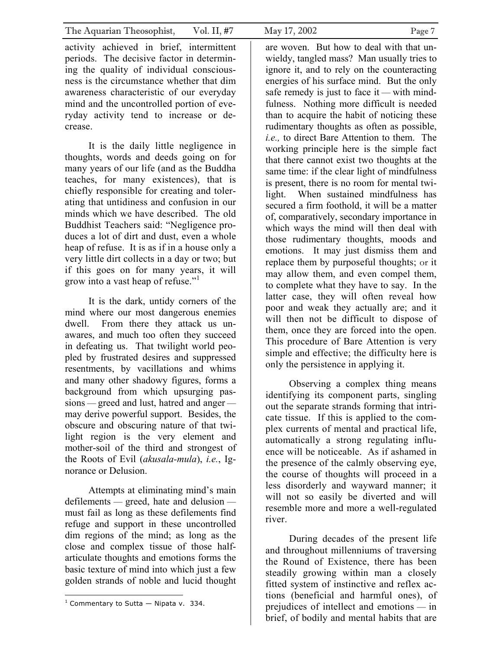activity achieved in brief, intermittent periods. The decisive factor in determining the quality of individual consciousness is the circumstance whether that dim awareness characteristic of our everyday mind and the uncontrolled portion of everyday activity tend to increase or decrease.

It is the daily little negligence in thoughts, words and deeds going on for many years of our life (and as the Buddha teaches, for many existences), that is chiefly responsible for creating and tolerating that untidiness and confusion in our minds which we have described. The old Buddhist Teachers said: "Negligence produces a lot of dirt and dust, even a whole heap of refuse. It is as if in a house only a very little dirt collects in a day or two; but if this goes on for many years, it will grow into a vast heap of refuse."

It is the dark, untidy corners of the mind where our most dangerous enemies dwell. From there they attack us unawares, and much too often they succeed in defeating us. That twilight world peopled by frustrated desires and suppressed resentments, by vacillations and whims and many other shadowy figures, forms a background from which upsurging passions — greed and lust, hatred and anger may derive powerful support. Besides, the obscure and obscuring nature of that twilight region is the very element and mother-soil of the third and strongest of the Roots of Evil (*akusala-mula*), *i.e.*, Ignorance or Delusion.

Attempts at eliminating mind's main defilements — greed, hate and delusion must fail as long as these defilements find refuge and support in these uncontrolled dim regions of the mind; as long as the close and complex tissue of those halfarticulate thoughts and emotions forms the basic texture of mind into which just a few golden strands of noble and lucid thought

are woven. But how to deal with that unwieldy, tangled mass? Man usually tries to ignore it, and to rely on the counteracting energies of his surface mind. But the only safe remedy is just to face it — with mindfulness. Nothing more difficult is needed than to acquire the habit of noticing these rudimentary thoughts as often as possible, *i.e.,* to direct Bare Attention to them. The working principle here is the simple fact that there cannot exist two thoughts at the same time: if the clear light of mindfulness is present, there is no room for mental twilight. When sustained mindfulness has secured a firm foothold, it will be a matter of, comparatively, secondary importance in which ways the mind will then deal with those rudimentary thoughts, moods and emotions. It may just dismiss them and replace them by purposeful thoughts; or it may allow them, and even compel them, to complete what they have to say. In the latter case, they will often reveal how poor and weak they actually are; and it will then not be difficult to dispose of them, once they are forced into the open. This procedure of Bare Attention is very simple and effective; the difficulty here is only the persistence in applying it.

Observing a complex thing means identifying its component parts, singling out the separate strands forming that intricate tissue. If this is applied to the complex currents of mental and practical life, automatically a strong regulating influence will be noticeable. As if ashamed in the presence of the calmly observing eye, the course of thoughts will proceed in a less disorderly and wayward manner; it will not so easily be diverted and will resemble more and more a well-regulated river.

During decades of the present life and throughout millenniums of traversing the Round of Existence, there has been steadily growing within man a closely fitted system of instinctive and reflex actions (beneficial and harmful ones), of prejudices of intellect and emotions — in brief, of bodily and mental habits that are

<span id="page-6-0"></span>  $1$  Commentary to Sutta  $-$  Nipata v. 334.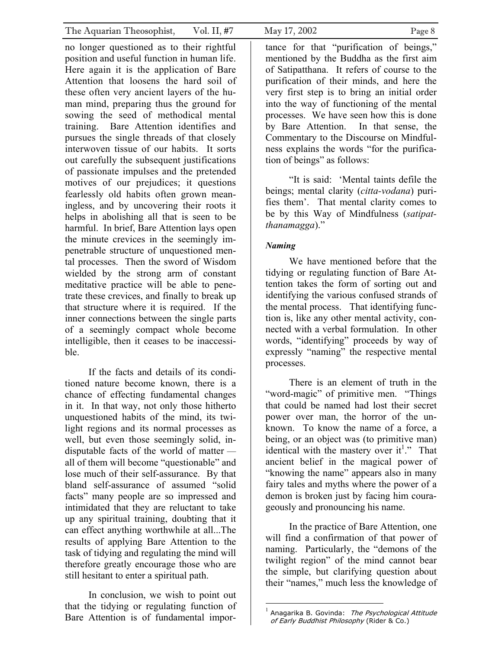no longer questioned as to their rightful position and useful function in human life. Here again it is the application of Bare Attention that loosens the hard soil of these often very ancient layers of the human mind, preparing thus the ground for sowing the seed of methodical mental training. Bare Attention identifies and pursues the single threads of that closely interwoven tissue of our habits. It sorts out carefully the subsequent justifications of passionate impulses and the pretended motives of our prejudices; it questions fearlessly old habits often grown meaningless, and by uncovering their roots it helps in abolishing all that is seen to be harmful. In brief, Bare Attention lays open the minute crevices in the seemingly impenetrable structure of unquestioned mental processes. Then the sword of Wisdom wielded by the strong arm of constant meditative practice will be able to penetrate these crevices, and finally to break up that structure where it is required. If the inner connections between the single parts of a seemingly compact whole become intelligible, then it ceases to be inaccessible.

If the facts and details of its conditioned nature become known, there is a chance of effecting fundamental changes in it. In that way, not only those hitherto unquestioned habits of the mind, its twilight regions and its normal processes as well, but even those seemingly solid, indisputable facts of the world of matter all of them will become "questionable" and lose much of their self-assurance. By that bland self-assurance of assumed "solid facts" many people are so impressed and intimidated that they are reluctant to take up any spiritual training, doubting that it can effect anything worthwhile at all...The results of applying Bare Attention to the task of tidying and regulating the mind will therefore greatly encourage those who are still hesitant to enter a spiritual path.

In conclusion, we wish to point out that the tidying or regulating function of Bare Attention is of fundamental impor-

tance for that "purification of beings," mentioned by the Buddha as the first aim of Satipatthana. It refers of course to the purification of their minds, and here the very first step is to bring an initial order into the way of functioning of the mental processes. We have seen how this is done by Bare Attention. In that sense, the Commentary to the Discourse on Mindfulness explains the words "for the purification of beings" as follows:

"It is said: 'Mental taints defile the beings; mental clarity (*citta-vodana*) purifies them'. That mental clarity comes to be by this Way of Mindfulness (*satipatthanamagga*)."

#### *Naming*

We have mentioned before that the tidying or regulating function of Bare Attention takes the form of sorting out and identifying the various confused strands of the mental process. That identifying function is, like any other mental activity, connected with a verbal formulation. In other words, "identifying" proceeds by way of expressly "naming" the respective mental processes.

There is an element of truth in the "word-magic" of primitive men. "Things that could be named had lost their secret power over man, the horror of the unknown. To know the name of a force, a being, or an object was (to primitive man) identical with the mastery over it<sup>[1](#page-7-0)</sup>." That ancient belief in the magical power of "knowing the name" appears also in many fairy tales and myths where the power of a demon is broken just by facing him courageously and pronouncing his name.

In the practice of Bare Attention, one will find a confirmation of that power of naming. Particularly, the "demons of the twilight region" of the mind cannot bear the simple, but clarifying question about their "names," much less the knowledge of

<span id="page-7-0"></span>of Early Buddhist Philosophy (Rider & Co.) Anagarika B. Govinda: The Psychological Attitude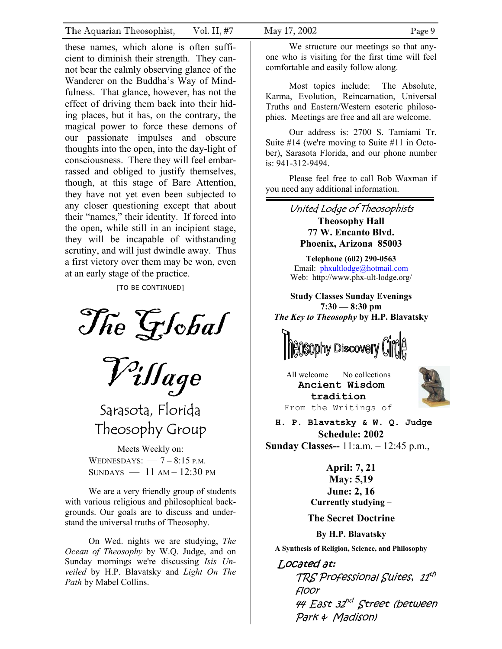these names, which alone is often sufficient to diminish their strength. They cannot bear the calmly observing glance of the Wanderer on the Buddha's Way of Mindfulness. That glance, however, has not the effect of driving them back into their hiding places, but it has, on the contrary, the magical power to force these demons of our passionate impulses and obscure thoughts into the open, into the day-light of consciousness. There they will feel embarrassed and obliged to justify themselves, though, at this stage of Bare Attention, they have not yet even been subjected to any closer questioning except that about their "names," their identity. If forced into the open, while still in an incipient stage, they will be incapable of withstanding scrutiny, and will just dwindle away. Thus a first victory over them may be won, even at an early stage of the practice.

[TO BE CONTINUED]

The Global

Village

# Sarasota, Florida From the Writings of

WEDNESDAYS: — 7 – 8:15 P.M.<br>SUNDAYS — 11 AM – 12:30 PM **April: 7, 21** 

We are a very friendly group of students **June: 2, 16** with various religious and philosophical backgrounds. Our goals are to discuss and understand the universal truths of Theosophy.

**By H.P. Blavatsky** On Wed. nights we are studying, *The Ocean of Theosophy* by W.Q. Judge, and on Sunday mornings we're discussing *Isis Unveiled* by H.P. Blavatsky and *Light On The Path* by Mabel Collins.

We structure our meetings so that anyone who is visiting for the first time will feel comfortable and easily follow along.

Most topics include: The Absolute, Karma, Evolution, Reincarnation, Universal Truths and Eastern/Western esoteric philosophies. Meetings are free and all are welcome.

Our address is: 2700 S. Tamiami Tr. Suite #14 (we're moving to Suite #11 in October), Sarasota Florida, and our phone number is: 941-312-9494.

Please feel free to call Bob Waxman if you need any additional information.

#### United Lodge of Theosophists **Theosophy Hall 77 W. Encanto Blvd. Phoenix, Arizona 85003**

**Telephone (602) 290-0563**  Email: [phxultlodge@hotmail.com](mailto:phxultlodge@hotmail.com) Web: http://www.phx-ult-lodge.org/

**Study Classes Sunday Evenings 7:30 — 8:30 pm** *The Key to Theosophy* **by H.P. Blavatsky** 



All welcome No collections **Ancient Wisdom tradition** 



 **H. P. Blavatsky & W. Q. Judge** Theosophy Group **Schedule: 2002**  Meets Weekly on: **Sunday Classes--** 11:a.m. – 12:45 p.m.,

> **May: 5,19 Currently studying –**

**The Secret Doctrine** 

**A Synthesis of Religion, Science, and Philosophy**

#### Located at:

TRS Professional Suites, 11th floor 44 East 32<sup>nd</sup> Street (between Park & Madison)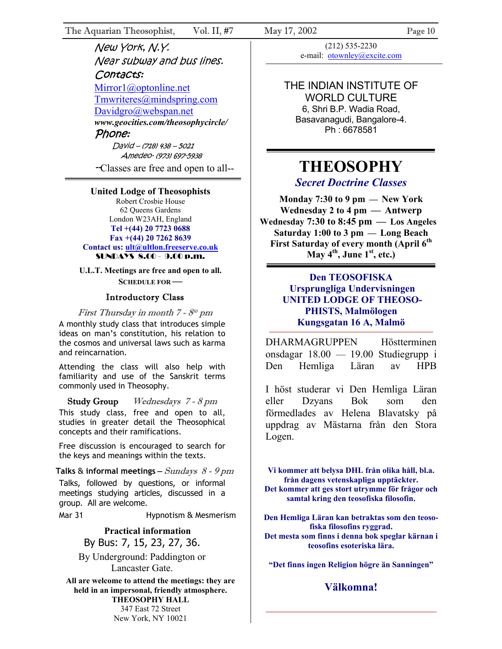$New York, N.Y.$  (212) 535-2230 Near subway and bus lines. Contacts:

[Mirror1@optonline.net](mailto:Mirror1@optonline.net) [Tmwriteres@mindspring.com](mailto:Tmwriteres@mindspring.com) [Davidgro@webspan.net](mailto:Davidgro@webspan.net)

*www.geocities.com/theosophycircle/* 

#### Phone:

 David – (718) 438 – 5021 Amedeo- (973) 697-5938

--Classes are free and open to all--

#### **United Lodge of Theosophists**

Robert Crosbie House 62 Queens Gardens London W23AH, England **Tel +(44) 20 7723 0688 Fax +(44) 20 7262 8639 Contact us: [ult@ultlon.freeserve.co.uk](mailto:ult@ultlon.freeserve.co.uk)**

# SUNDAYS 8.00 - 9.00 p.m.

**U.L.T. Meetings are free and open to all.** 

**SCHEDULE FOR—**

#### Introductory Class

First Thursday in month 7 - 8<sup>30</sup> pm A monthly study class that introduces simple ideas on man's constitution, his relation to the cosmos and universal laws such as karma and reincarnation.

Attending the class will also help with familiarity and use of the Sanskrit terms commonly used in Theosophy.

Study Group *Wednesdays* 7 - 8 pm This study class, free and open to all, studies in greater detail the Theosophical concepts and their ramifications.

Free discussion is encouraged to search for the keys and meanings within the texts.

#### **Talks** & **informal meetings —** Sundays 8 - 9 pm

Talks, followed by questions, or informal meetings studying articles, discussed in a group. All are welcome.

Mar 31 Hypnotism & Mesmerism

**Practical information**  By Bus: 7, 15, 23, 27, 36.

By Underground: Paddington or Lancaster Gate.

**All are welcome to attend the meetings: they are held in an impersonal, friendly atmosphere. THEOSOPHY HALL**  347 East 72 Street New York, NY 10021

e-mail: [otownley@excite.com](mailto:otownley@excite.com)

# THE INDIAN INSTITUTE OF WORLD CULTURE

6, Shri B.P. Wadia Road, Basavanagudi, Bangalore-4. Ph : 6678581

# **THEOSOPHY**

#### *Secret Doctrine Classes*

**Monday 7:30 to 9 pm — New York Wednesday 2 to 4 pm — Antwerp Wednesday 7:30 to 8:45 pm — Los Angeles Saturday 1:00 to 3 pm — Long Beach First Saturday of every month (April 6th** May 4<sup>th</sup>, June 1<sup>st</sup>, etc.)

#### **Den TEOSOFISKA Ursprungliga Undervisningen UNITED LODGE OF THEOSO-PHISTS, Malmölogen Kungsgatan 16 A, Malmö**

DHARMAGRUPPEN Höstterminen onsdagar 18.00 — 19.00 Studiegrupp i Den Hemliga Läran av HPB

I höst studerar vi Den Hemliga Läran eller Dzyans Bok som den förmedlades av Helena Blavatsky på uppdrag av Mästarna från den Stora Logen.

**Vi kommer att belysa DHL från olika håll, bl.a. från dagens vetenskapliga upptäckter. Det kommer att ges stort utrymme för frågor och samtal kring den teosofiska filosofin.** 

**Den Hemliga Läran kan betraktas som den teosofiska filosofins ryggrad. Det mesta som finns i denna bok speglar kärnan i teosofins esoteriska lära.** 

**"Det finns ingen Religion högre än Sanningen"** 

#### **Välkomna!**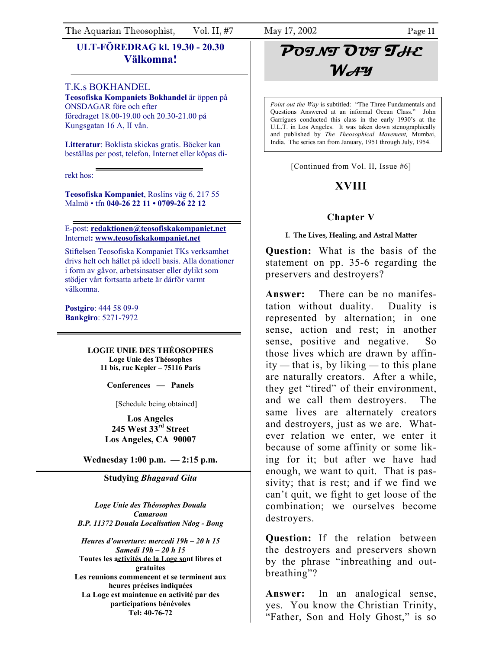# **ULT-FÖREDRAG kl. 19.30 - 20.30**

#### T.K.s BOKHANDEL

**Teosofiska Kompaniets Bokhandel** är öppen på ONSDAGAR före och efter föredraget 18.00-19.00 och 20.30-21.00 på Kungsgatan 16 A, II vån.

**Litteratur**: Boklista skickas gratis. Böcker kan beställas per post, telefon, Internet eller köpas di-

re kt hos:

**Teosofiska Kompaniet**, Roslins väg 6, 217 55 M almö • tfn **040-26 22 11 • 0709-26 22 12**

E-post: **r [edaktionen@teosofiskakompan](http://www.teosofiskakompaniet.net/)iet.net I. The Lives, Healing, and Astral Matter** Internet**: www.teosofiskakompaniet.net**

Stiftelsen Teosofiska Kompaniet TKs verksamhet drivs helt och hållet på ideell basis. Alla donationer i form av gåvor, arbetsinsatser eller dylikt so stödjer vårt fortsatta arbete är därför varmt v älkomna.

**Postgiro**: 444 58 09-9 **ankgiro**: 5271-7972 **B**

> **LOGIE UNIE DES THÉOSOPHES 11 bis, rue Kepler – 75116 Paris Loge Unie des Théosophes**

> > **Conferences — Panels**

[Schedule being obtained]

**Los Angeles, CA 90007 Los Angeles 245 West 33rd Street** 

**Wednesday** 1:00 p.m.  $-2:15$  p.m.

**Studying** *Bhagavad Gita* 

*Loge Unie des Théosophes Douala B.P. 11372 Douala Localisation Ndog - Bong Camaroon* 

*Heures d'ouverture: mercedi 19h – 20 h 15*  **Toutes les activités de la Loge sont libres et Les reunions commencent et se terminent aux**  La Loge est maintenue en activité par des **participations bénévoles Tel: 40-76-72**  *Samedi 19h – 20 h 15*  **gratuites heures précises indiquées** 

**Välkomna! POINT OUT THE WAY**

> *Point out the Way* is subtitled: "The Three Fundamentals and Questions Answered at an informal Ocean Class." John Garrigues conducted this class in the early 1930's at the U.L.T. in Los Angeles. It was taken down stenographically and published by *The Theosophical Movement,* Mumbai, India. The series ran from January, 1951 through July, 1954.

> > [Continued from Vol. II, Issue #6]

#### **XVIII**

#### **Chapter V**

**Question:** What is the basis of the statement on pp. 35-6 regarding the preservers and destroyers?

**Answer:** There can be no manifestation without duality. Duality is represented by alternation; in one sense, action and rest; in another sense, positive and negative. So those lives which are drawn by affinity — that is, by liking — to this plane are naturally creators. After a while, they get "tired" of their environment, and we call them destroyers. The same lives are alternately creators and destroyers, just as we are. Whatever relation we enter, we enter it because of some affinity or some liking for it; but after we have had enough, we want to quit. That is passivity; that is rest; and if we find we can't quit, we fight to get loose of the combination; we ourselves become destroyers.

**Question:** If the relation between the destroyers and preservers shown by the phrase "inbreathing and outbreathing"?

**Answer:** In an analogical sense, yes. You know the Christian Trinity, "Father, Son and Holy Ghost," is so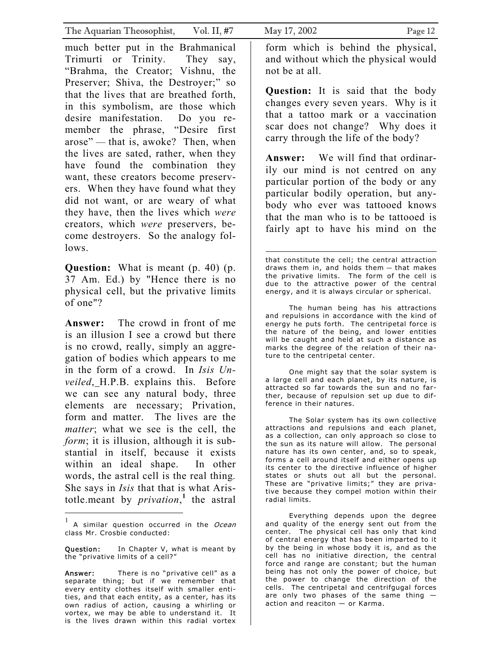much better put in the Brahmanical Trimurti or Trinity. They say, "Brahma, the Creator; Vishnu, the Preserver; Shiva, the Destroyer;" so that the lives that are breathed forth, in this symbolism, are those which desire manifestation. Do you remember the phrase, "Desire first arose" — that is, awoke? Then, when the lives are sated, rather, when they have found the combination they want, these creators become preservers. When they have found what they did not want, or are weary of what they have, then the lives which *were*  creators, which *were* preservers, become destroyers. So the analogy follows.

**Question:** What is meant (p. 40) (p. 37 Am. Ed.) by "Hence there is no physical cell, but the privative limits of one"?

**Answer:** The crowd in front of me is an illusion I see a crowd but there is no crowd, really, simply an aggregation of bodies which appears to me in the form of a crowd. In *Isis Unveiled*, H.P.B. explains this. Before we can see any natural body, three elements are necessary; Privation, form and matter. The lives are the *matter*; what we see is the cell, the *form*; it is illusion, although it is substantial in itself, because it exists within an ideal shape. In other words, the astral cell is the real thing*.*  She says in *Isis* that that is what Aristotle.meant by  $\text{privation}$ , the astral

 $\overline{a}$ 

form which is behind the physical, and without which the physical would not be at all.

**Question:** It is said that the body changes every seven years. Why is it that a tattoo mark or a vaccination scar does not change? Why does it carry through the life of the body?

**Answer:** We will find that ordinarily our mind is not centred on any particular portion of the body or any particular bodily operation, but anybody who ever was tattooed knows that the man who is to be tattooed is fairly apt to have his mind on the

 $\overline{a}$ that constitute the cell; the central attraction draws them in, and holds them — that makes the privative limits. The form of the cell is due to the attractive power of the central energy, and it is always circular or spherical.

 The human being has his attractions and repulsions in accordance with the kind of energy he puts forth. The centripetal force is the nature of the being, and lower entities will be caught and held at such a distance as marks the degree of the relation of their nature to the centripetal center.

 One might say that the solar system is a large cell and each planet, by its nature, is attracted so far towards the sun and no farther, because of repulsion set up due to difference in their natures.

 The Solar system has its own collective attractions and repulsions and each planet, as a collection, can only approach so close to the sun as its nature will allow. The personal nature has its own center, and, so to speak, forms a cell around itself and either opens up its center to the directive influence of higher states or shuts out all but the personal. These are "privative limits;" they are privative because they compel motion within their radial limits.

 Everything depends upon the degree and quality of the energy sent out from the center. The physical cell has only that kind of central energy that has been imparted to it by the being in whose body it is, and as the cell has no initiative direction, the central force and range are constant; but the human being has not only the power of choice, but the power to change the direction of the cells. The centripetal and centrifgugal forces are only two phases of the same thing action and reaciton — or Karma.

<span id="page-11-0"></span> $1$  A similar question occurred in the *Ocean* class Mr. Crosbie conducted:

Question: In Chapter V, what is meant by the "privative limits of a cell?"

Answer: There is no "privative cell" as a separate thing; but if we remember that every entity clothes itself with smaller entities, and that each entity, as a center, has its own radius of action, causing a whirling or vortex, we may be able to understand it. It is the lives drawn within this radial vortex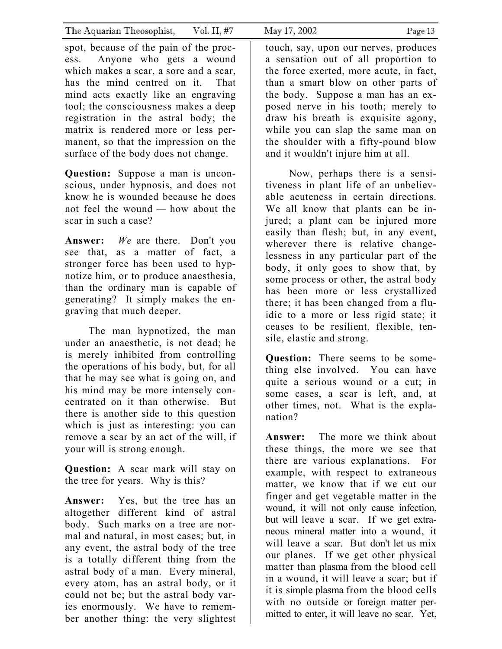| The Aquarian Theosophist,<br>Vol. II, $#7$                                                                                                                                                                                                                                                                                                                                                                                                                                                                                                                                                                                  | May 17, 2002<br>Page 13                                                                                                                                                                                                                                                                                                                                                                                                                                                                                                                                                                                                                                                                   |
|-----------------------------------------------------------------------------------------------------------------------------------------------------------------------------------------------------------------------------------------------------------------------------------------------------------------------------------------------------------------------------------------------------------------------------------------------------------------------------------------------------------------------------------------------------------------------------------------------------------------------------|-------------------------------------------------------------------------------------------------------------------------------------------------------------------------------------------------------------------------------------------------------------------------------------------------------------------------------------------------------------------------------------------------------------------------------------------------------------------------------------------------------------------------------------------------------------------------------------------------------------------------------------------------------------------------------------------|
| spot, because of the pain of the proc-<br>Anyone who gets a wound<br>ess.<br>which makes a scar, a sore and a scar,<br>has the mind centred on it.<br>That<br>mind acts exactly like an engraving<br>tool; the consciousness makes a deep<br>registration in the astral body; the<br>matrix is rendered more or less per-<br>manent, so that the impression on the<br>surface of the body does not change.                                                                                                                                                                                                                  | touch, say, upon our nerves, produces<br>a sensation out of all proportion to<br>the force exerted, more acute, in fact,<br>than a smart blow on other parts of<br>the body. Suppose a man has an ex-<br>posed nerve in his tooth; merely to<br>draw his breath is exquisite agony,<br>while you can slap the same man on<br>the shoulder with a fifty-pound blow<br>and it wouldn't injure him at all.                                                                                                                                                                                                                                                                                   |
| <b>Question:</b> Suppose a man is uncon-<br>scious, under hypnosis, and does not<br>know he is wounded because he does<br>not feel the wound — how about the<br>scar in such a case?<br><b>Answer:</b> We are there. Don't you<br>see that, as a matter of fact, a<br>stronger force has been used to hyp-<br>notize him, or to produce anaesthesia,<br>than the ordinary man is capable of<br>generating? It simply makes the en-<br>graving that much deeper.<br>The man hypnotized, the man<br>under an anaesthetic, is not dead; he<br>is merely inhibited from controlling<br>the operations of his body, but, for all | Now, perhaps there is a sensi-<br>tiveness in plant life of an unbeliev-<br>able acuteness in certain directions.<br>We all know that plants can be in-<br>jured; a plant can be injured more<br>easily than flesh; but, in any event,<br>wherever there is relative change-<br>lessness in any particular part of the<br>body, it only goes to show that, by<br>some process or other, the astral body<br>has been more or less crystallized<br>there; it has been changed from a flu-<br>idic to a more or less rigid state; it<br>ceases to be resilient, flexible, ten-<br>sile, elastic and strong.<br><b>Question:</b> There seems to be some-<br>thing else involved. You can have |
| that he may see what is going on, and<br>his mind may be more intensely con-<br>centrated on it than otherwise. But<br>there is another side to this question<br>which is just as interesting: you can<br>remove a scar by an act of the will, if<br>your will is strong enough.<br><b>Question:</b> A scar mark will stay on<br>the tree for years. Why is this?                                                                                                                                                                                                                                                           | quite a serious wound or a cut; in<br>some cases, a scar is left, and, at<br>other times, not. What is the expla-<br>nation?<br>The more we think about<br>Answer:<br>these things, the more we see that<br>there are various explanations.<br>For<br>example, with respect to extraneous<br>matter, we know that if we cut our<br>finger and get vegetable matter in the                                                                                                                                                                                                                                                                                                                 |
| <b>Answer:</b> Yes, but the tree has an<br>altogether different kind of astral<br>body. Such marks on a tree are nor-<br>mal and natural in most cases; but in                                                                                                                                                                                                                                                                                                                                                                                                                                                              | wound, it will not only cause infection,<br>but will leave a scar. If we get extra-<br>neous mineral matter into a wound, it                                                                                                                                                                                                                                                                                                                                                                                                                                                                                                                                                              |

will leave a scar. But don't let us mix our planes. If we get other physical matter than plasma from the blood cell in a wound, it will leave a scar; but if it is simple plasma from the blood cells with no outside or foreign matter permitted to enter, it will leave no scar. Yet,

mal and natural, in most cases; but, in any event, the astral body of the tree is a totally different thing from the astral body of a man. Every mineral, every atom, has an astral body, or it could not be; but the astral body varies enormously. We have to remember another thing: the very slightest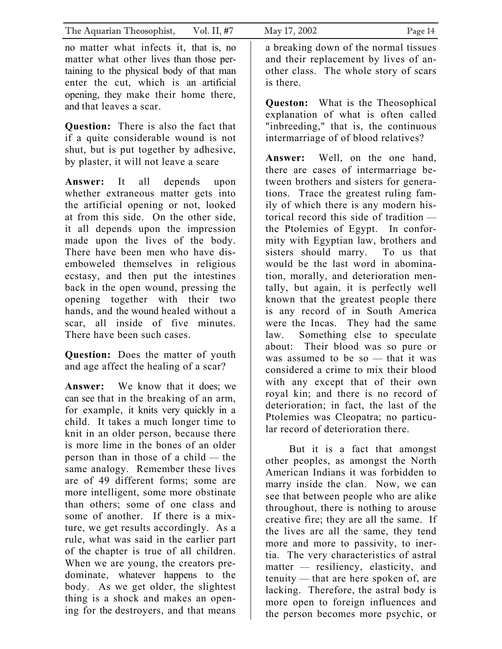| The Aquarian Theosophist, | Vol. II, #7 | May 17, 2002 | Page 14 |
|---------------------------|-------------|--------------|---------|
|                           |             |              |         |

no matter what infects it, that is, no matter what other lives than those pertaining to the physical body of that man enter the cut, which is an artificial opening, they make their home there, and that leaves a scar.

**Question:** There is also the fact that if a quite considerable wound is not shut, but is put together by adhesive, by plaster, it will not leave a scare

**Answer:** It all depends upon whether extraneous matter gets into the artificial opening or not, looked at from this side. On the other side, it all depends upon the impression made upon the lives of the body. There have been men who have disemboweled themselves in religious ecstasy, and then put the intestines back in the open wound, pressing the opening together with their two hands, and the wound healed without a scar, all inside of five minutes. There have been such cases.

**Question:** Does the matter of youth and age affect the healing of a scar?

**Answer:** We know that it does; we can see that in the breaking of an arm, for example, it knits very quickly in a child. It takes a much longer time to knit in an older person, because there is more lime in the bones of an older person than in those of a child — the same analogy. Remember these lives are of 49 different forms; some are more intelligent, some more obstinate than others; some of one class and some of another. If there is a mixture, we get results accordingly. As a rule, what was said in the earlier part of the chapter is true of all children. When we are young, the creators predominate, whatever happens to the body. As we get older, the slightest thing is a shock and makes an opening for the destroyers, and that means

a breaking down of the normal tissues and their replacement by lives of another class. The whole story of scars is there.

**Queston:** What is the Theosophical explanation of what is often called "inbreeding," that is, the continuous intermarriage of of blood relatives?

**Answer:** Well, on the one hand, there are cases of intermarriage between brothers and sisters for generations. Trace the greatest ruling family of which there is any modern historical record this side of tradition the Ptolemies of Egypt. In conformity with Egyptian law, brothers and sisters should marry. To us that would be the last word in abomination, morally, and deterioration mentally, but again, it is perfectly well known that the greatest people there is any record of in South America were the Incas. They had the same law. Something else to speculate about: Their blood was so pure or was assumed to be so — that it was considered a crime to mix their blood with any except that of their own royal kin; and there is no record of deterioration; in fact, the last of the Ptolemies was Cleopatra; no particular record of deterioration there.

 But it is a fact that amongst other peoples, as amongst the North American Indians it was forbidden to marry inside the clan. Now, we can see that between people who are alike throughout, there is nothing to arouse creative fire; they are all the same. If the lives are all the same, they tend more and more to passivity, to inertia. The very characteristics of astral matter — resiliency, elasticity, and tenuity — that are here spoken of, are lacking. Therefore, the astral body is more open to foreign influences and the person becomes more psychic, or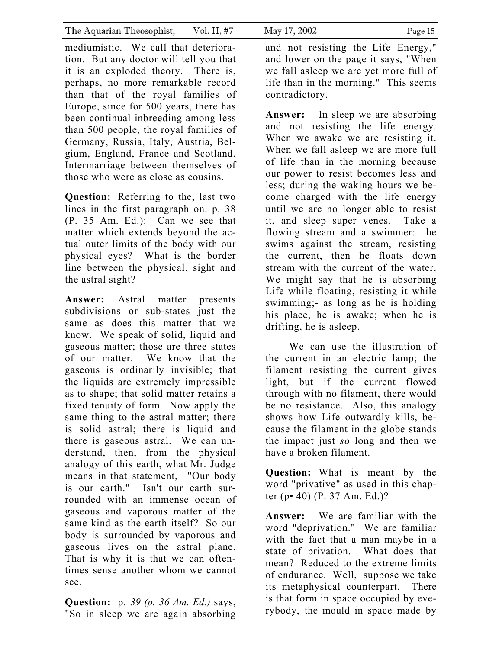mediumistic. We call that deterioration. But any doctor will tell you that it is an exploded theory. There is, perhaps, no more remarkable record than that of the royal families of Europe, since for 500 years, there has been continual inbreeding among less than 500 people, the royal families of Germany, Russia, Italy, Austria, Belgium, England, France and Scotland. Intermarriage between themselves of those who were as close as cousins.

**Question:** Referring to the, last two lines in the first paragraph on. p. 38 (P. 35 Am. Ed.): Can we see that matter which extends beyond the actual outer limits of the body with our physical eyes? What is the border line between the physical. sight and the astral sight?

**Answer:** Astral matter presents subdivisions or sub-states just the same as does this matter that we know. We speak of solid, liquid and gaseous matter; those are three states of our matter. We know that the gaseous is ordinarily invisible; that the liquids are extremely impressible as to shape; that solid matter retains a fixed tenuity of form. Now apply the same thing to the astral matter; there is solid astral; there is liquid and there is gaseous astral. We can understand, then, from the physical analogy of this earth, what Mr. Judge means in that statement, "Our body is our earth." Isn't our earth surrounded with an immense ocean of gaseous and vaporous matter of the same kind as the earth itself? So our body is surrounded by vaporous and gaseous lives on the astral plane. That is why it is that we can oftentimes sense another whom we cannot see.

**Question:** p. *39 (p. 36 Am. Ed.)* says, "So in sleep we are again absorbing **Answer:** In sleep we are absorbing and not resisting the life energy. When we awake we are resisting it. When we fall asleep we are more full of life than in the morning because our power to resist becomes less and less; during the waking hours we become charged with the life energy until we are no longer able to resist it, and sleep super venes. Take a flowing stream and a swimmer: he swims against the stream, resisting the current, then he floats down stream with the current of the water. We might say that he is absorbing Life while floating, resisting it while swimming;- as long as he is holding his place, he is awake; when he is drifting, he is asleep.

 We can use the illustration of the current in an electric lamp; the filament resisting the current gives light, but if the current flowed through with no filament, there would be no resistance. Also, this analogy shows how Life outwardly kills, because the filament in the globe stands the impact just *so* long and then we have a broken filament.

**Question:** What is meant by the word "privative" as used in this chapter (p• 40) (P. 37 Am. Ed.)?

**Answer:** We are familiar with the word "deprivation." We are familiar with the fact that a man maybe in a state of privation. What does that mean? Reduced to the extreme limits of endurance. Well, suppose we take its metaphysical counterpart. There is that form in space occupied by everybody, the mould in space made by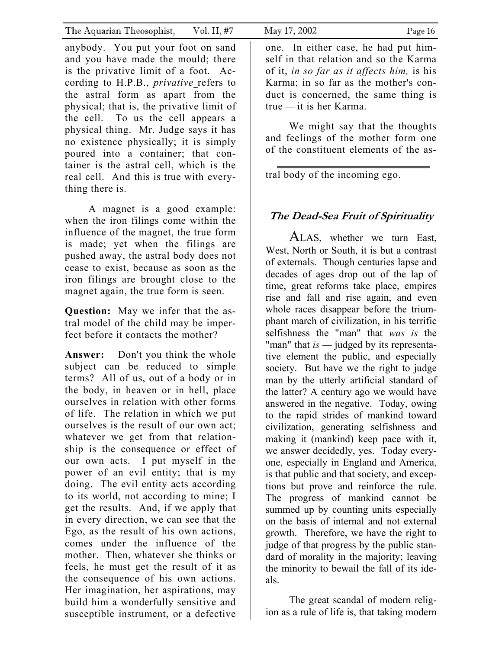anybody. You put your foot on sand and you have made the mould; there is the privative limit of a foot. According to H.P.B., *privative* refers to the astral form as apart from the physical; that is, the privative limit of the cell. To us the cell appears a physical thing. Mr. Judge says it has no existence physically; it is simply poured into a container; that container is the astral cell, which is the real cell. And this is true with everything there is.

A magnet is a good example: when the iron filings come within the influence of the magnet, the true form is made; yet when the filings are pushed away, the astral body does not cease to exist, because as soon as the iron filings are brought close to the magnet again, the true form is seen.

**Question:** May we infer that the astral model of the child may be imperfect before it contacts the mother?

**Answer:** Don't you think the whole subject can be reduced to simple terms? All of us, out of a body or in the body, in heaven or in hell, place ourselves in relation with other forms of life. The relation in which we put ourselves is the result of our own act; whatever we get from that relationship is the consequence or effect of our own acts. I put myself in the power of an evil entity; that is my doing. The evil entity acts according to its world, not according to mine; I get the results. And, if we apply that in every direction, we can see that the Ego, as the result of his own actions, comes under the influence of the mother. Then, whatever she thinks or feels, he must get the result of it as the consequence of his own actions. Her imagination, her aspirations, may build him a wonderfully sensitive and susceptible instrument, or a defective

one. In either case, he had put himself in that relation and so the Karma of it, *in so far as it affects him,* is his Karma; in so far as the mother's conduct is concerned, the same thing is true — it is her Karma.

We might say that the thoughts and feelings of the mother form one of the constituent elements of the as-

tral body of the incoming ego.

## **The Dead-Sea Fruit of Spirituality**

ALAS, whether we turn East, West, North or South, it is but a contrast of externals. Though centuries lapse and decades of ages drop out of the lap of time, great reforms take place, empires rise and fall and rise again, and even whole races disappear before the triumphant march of civilization, in his terrific selfishness the "man" that *was is* the "man" that *is* — judged by its representative element the public, and especially society. But have we the right to judge man by the utterly artificial standard of the latter? A century ago we would have answered in the negative. Today, owing to the rapid strides of mankind toward civilization, generating selfishness and making it (mankind) keep pace with it, we answer decidedly, yes. Today everyone, especially in England and America, is that public and that society, and exceptions but prove and reinforce the rule. The progress of mankind cannot be summed up by counting units especially on the basis of internal and not external growth. Therefore, we have the right to judge of that progress by the public standard of morality in the majority; leaving the minority to bewail the fall of its ideals.

The great scandal of modern religion as a rule of life is, that taking modern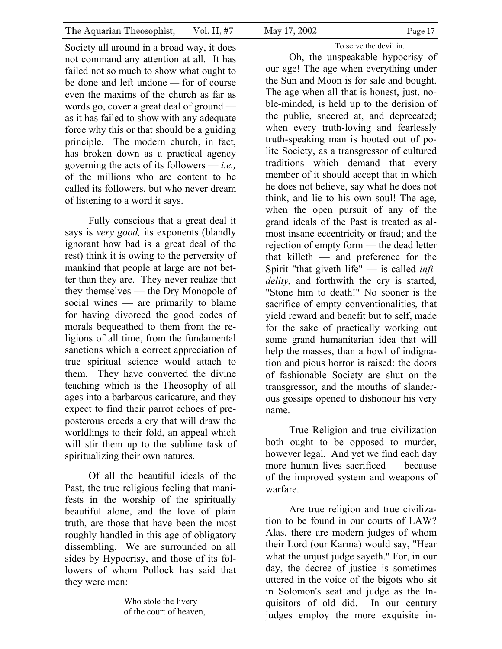Society all around in a broad way, it does not command any attention at all. It has failed not so much to show what ought to be done and left undone — for of course even the maxims of the church as far as words go, cover a great deal of ground as it has failed to show with any adequate force why this or that should be a guiding principle. The modern church, in fact, has broken down as a practical agency governing the acts of its followers — *i.e.,*  of the millions who are content to be called its followers, but who never dream of listening to a word it says.

Fully conscious that a great deal it says is *very good,* its exponents (blandly ignorant how bad is a great deal of the rest) think it is owing to the perversity of mankind that people at large are not better than they are. They never realize that they themselves — the Dry Monopole of social wines — are primarily to blame for having divorced the good codes of morals bequeathed to them from the religions of all time, from the fundamental sanctions which a correct appreciation of true spiritual science would attach to them. They have converted the divine teaching which is the Theosophy of all ages into a barbarous caricature, and they expect to find their parrot echoes of preposterous creeds a cry that will draw the worldlings to their fold, an appeal which will stir them up to the sublime task of spiritualizing their own natures.

Of all the beautiful ideals of the Past, the true religious feeling that manifests in the worship of the spiritually beautiful alone, and the love of plain truth, are those that have been the most roughly handled in this age of obligatory dissembling. We are surrounded on all sides by Hypocrisy, and those of its followers of whom Pollock has said that they were men:

> Who stole the livery of the court of heaven,

#### To serve the devil in.

Oh, the unspeakable hypocrisy of our age! The age when everything under the Sun and Moon is for sale and bought. The age when all that is honest, just, noble-minded, is held up to the derision of the public, sneered at, and deprecated; when every truth-loving and fearlessly truth-speaking man is hooted out of polite Society, as a transgressor of cultured traditions which demand that every member of it should accept that in which he does not believe, say what he does not think, and lie to his own soul! The age, when the open pursuit of any of the grand ideals of the Past is treated as almost insane eccentricity or fraud; and the rejection of empty form — the dead letter that killeth — and preference for the Spirit "that giveth life" — is called *infidelity,* and forthwith the cry is started, "Stone him to death!" No sooner is the sacrifice of empty conventionalities, that yield reward and benefit but to self, made for the sake of practically working out some grand humanitarian idea that will help the masses, than a howl of indignation and pious horror is raised: the doors of fashionable Society are shut on the transgressor, and the mouths of slanderous gossips opened to dishonour his very name.

True Religion and true civilization both ought to be opposed to murder, however legal. And yet we find each day more human lives sacrificed — because of the improved system and weapons of warfare.

Are true religion and true civilization to be found in our courts of LAW? Alas, there are modern judges of whom their Lord (our Karma) would say, "Hear what the unjust judge sayeth." For, in our day, the decree of justice is sometimes uttered in the voice of the bigots who sit in Solomon's seat and judge as the Inquisitors of old did. In our century judges employ the more exquisite in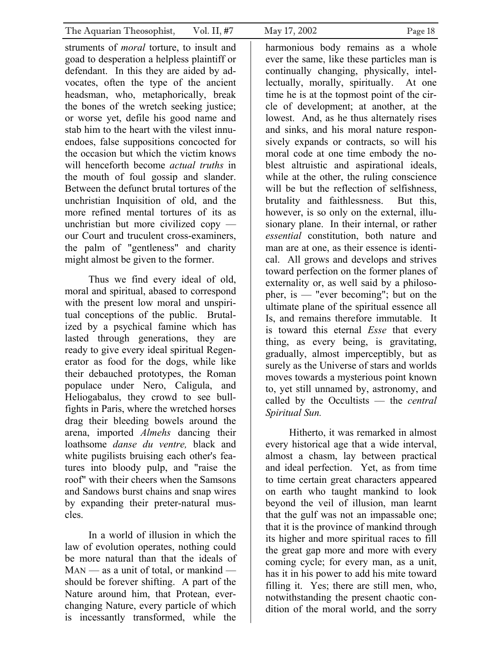struments of *moral* torture, to insult and goad to desperation a helpless plaintiff or defendant. In this they are aided by advocates, often the type of the ancient headsman, who, metaphorically, break the bones of the wretch seeking justice; or worse yet, defile his good name and stab him to the heart with the vilest innuendoes, false suppositions concocted for the occasion but which the victim knows will henceforth become *actual truths* in the mouth of foul gossip and slander. Between the defunct brutal tortures of the unchristian Inquisition of old, and the more refined mental tortures of its as unchristian but more civilized copy our Court and truculent cross-examiners, the palm of "gentleness" and charity might almost be given to the former.

Thus we find every ideal of old, moral and spiritual, abased to correspond with the present low moral and unspiritual conceptions of the public. Brutalized by a psychical famine which has lasted through generations, they are ready to give every ideal spiritual Regenerator as food for the dogs, while like their debauched prototypes, the Roman populace under Nero, Caligula, and Heliogabalus, they crowd to see bullfights in Paris, where the wretched horses drag their bleeding bowels around the arena, imported *Almehs* dancing their loathsome *danse du ventre,* black and white pugilists bruising each other's features into bloody pulp, and "raise the roof" with their cheers when the Samsons and Sandows burst chains and snap wires by expanding their preter-natural muscles.

In a world of illusion in which the law of evolution operates, nothing could be more natural than that the ideals of  $MAN$  — as a unit of total, or mankind should be forever shifting. A part of the Nature around him, that Protean, everchanging Nature, every particle of which is incessantly transformed, while the

harmonious body remains as a whole ever the same, like these particles man is continually changing, physically, intellectually, morally, spiritually. At one time he is at the topmost point of the circle of development; at another, at the lowest. And, as he thus alternately rises and sinks, and his moral nature responsively expands or contracts, so will his moral code at one time embody the noblest altruistic and aspirational ideals, while at the other, the ruling conscience will be but the reflection of selfishness, brutality and faithlessness. But this, however, is so only on the external, illusionary plane. In their internal, or rather *essential* constitution, both nature and man are at one, as their essence is identical. All grows and develops and strives toward perfection on the former planes of externality or, as well said by a philosopher, is — "ever becoming"; but on the ultimate plane of the spiritual essence all Is, and remains therefore immutable. It is toward this eternal *Esse* that every thing, as every being, is gravitating, gradually, almost imperceptibly, but as surely as the Universe of stars and worlds moves towards a mysterious point known to, yet still unnamed by, astronomy, and called by the Occultists — the *central Spiritual Sun.* 

Hitherto, it was remarked in almost every historical age that a wide interval, almost a chasm, lay between practical and ideal perfection. Yet, as from time to time certain great characters appeared on earth who taught mankind to look beyond the veil of illusion, man learnt that the gulf was not an impassable one; that it is the province of mankind through its higher and more spiritual races to fill the great gap more and more with every coming cycle; for every man, as a unit, has it in his power to add his mite toward filling it. Yes; there are still men, who, notwithstanding the present chaotic condition of the moral world, and the sorry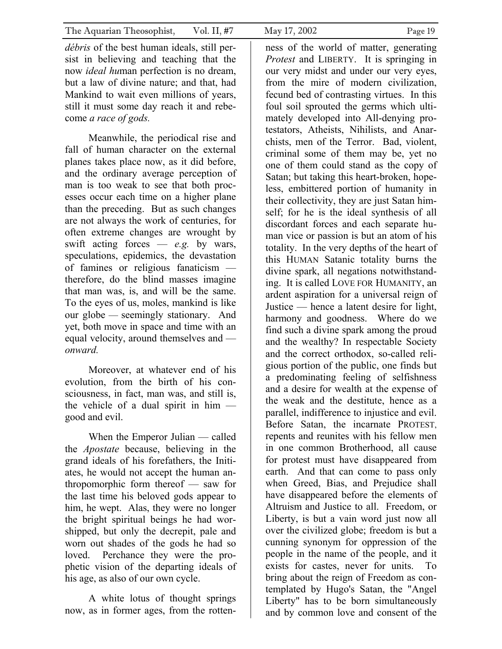*débris* of the best human ideals, still persist in believing and teaching that the now *ideal hu*man perfection is no dream, but a law of divine nature; and that, had Mankind to wait even millions of years, still it must some day reach it and rebecome *a race of gods.* 

Meanwhile, the periodical rise and fall of human character on the external planes takes place now, as it did before, and the ordinary average perception of man is too weak to see that both processes occur each time on a higher plane than the preceding. But as such changes are not always the work of centuries, for often extreme changes are wrought by swift acting forces — *e.g.* by wars, speculations, epidemics, the devastation of famines or religious fanaticism therefore, do the blind masses imagine that man was, is, and will be the same. To the eyes of us, moles, mankind is like our globe — seemingly stationary. And yet, both move in space and time with an equal velocity, around themselves and *onward.* 

Moreover, at whatever end of his evolution, from the birth of his consciousness, in fact, man was, and still is, the vehicle of a dual spirit in him good and evil.

When the Emperor Julian — called the *Apostate* because, believing in the grand ideals of his forefathers, the Initiates, he would not accept the human anthropomorphic form thereof — saw for the last time his beloved gods appear to him, he wept. Alas, they were no longer the bright spiritual beings he had worshipped, but only the decrepit, pale and worn out shades of the gods he had so loved. Perchance they were the prophetic vision of the departing ideals of his age, as also of our own cycle.

A white lotus of thought springs now, as in former ages, from the rotten-

ness of the world of matter, generating *Protest* and LIBERTY. It is springing in our very midst and under our very eyes, from the mire of modern civilization, fecund bed of contrasting virtues. In this foul soil sprouted the germs which ultimately developed into All-denying protestators, Atheists, Nihilists, and Anarchists, men of the Terror. Bad, violent, criminal some of them may be, yet no one of them could stand as the copy of Satan; but taking this heart-broken, hopeless, embittered portion of humanity in their collectivity, they are just Satan himself; for he is the ideal synthesis of all discordant forces and each separate human vice or passion is but an atom of his totality. In the very depths of the heart of this HUMAN Satanic totality burns the divine spark, all negations notwithstanding. It is called LOVE FOR HUMANITY, an ardent aspiration for a universal reign of Justice — hence a latent desire for light, harmony and goodness. Where do we find such a divine spark among the proud and the wealthy? In respectable Society and the correct orthodox, so-called religious portion of the public, one finds but a predominating feeling of selfishness and a desire for wealth at the expense of the weak and the destitute, hence as a parallel, indifference to injustice and evil. Before Satan, the incarnate PROTEST, repents and reunites with his fellow men in one common Brotherhood, all cause for protest must have disappeared from earth. And that can come to pass only when Greed, Bias, and Prejudice shall have disappeared before the elements of Altruism and Justice to all. Freedom, or Liberty, is but a vain word just now all over the civilized globe; freedom is but a cunning synonym for oppression of the people in the name of the people, and it exists for castes, never for units. To bring about the reign of Freedom as contemplated by Hugo's Satan, the "Angel Liberty" has to be born simultaneously and by common love and consent of the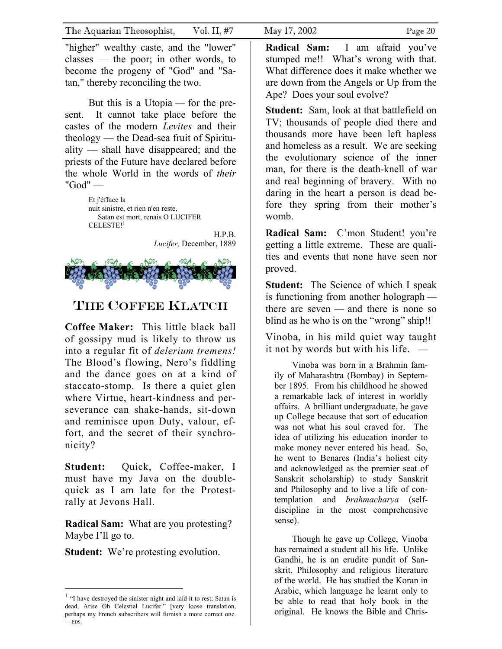"higher" wealthy caste, and the "lower" classes — the poor; in other words, to become the progeny of "God" and "Satan," thereby reconciling the two.

But this is a Utopia — for the present. It cannot take place before the castes of the modern *Levites* and their theology — the Dead-sea fruit of Spirituality — shall have disappeared; and the priests of the Future have declared before the whole World in the words of *their*  "God" —

> Et j'éfface la nuit sinistre, et rien n'en reste, Satan est mort, renais O LUCIFER  $CELESTE!$ <sup>1</sup>

> > H.P.B. *Lucifer,* December, 1889



## THE COFFEE KLATCH

**Coffee Maker:** This little black ball of gossipy mud is likely to throw us into a regular fit of *delerium tremens!*  The Blood's flowing, Nero's fiddling and the dance goes on at a kind of staccato-stomp. Is there a quiet glen where Virtue, heart-kindness and perseverance can shake-hands, sit-down and reminisce upon Duty, valour, effort, and the secret of their synchronicity?

**Student:** Quick, Coffee-maker, I must have my Java on the doublequick as I am late for the Protestrally at Jevons Hall.

**Radical Sam:** What are you protesting? Maybe I'll go to.

**Student:** We're protesting evolution.

l

**Radical Sam:** I am afraid you've stumped me!! What's wrong with that. What difference does it make whether we are down from the Angels or Up from the Ape? Does your soul evolve?

**Student:** Sam, look at that battlefield on TV; thousands of people died there and thousands more have been left hapless and homeless as a result. We are seeking the evolutionary science of the inner man, for there is the death-knell of war and real beginning of bravery. With no daring in the heart a person is dead before they spring from their mother's womb.

**Radical Sam:** C'mon Student! you're getting a little extreme. These are qualities and events that none have seen nor proved.

**Student:** The Science of which I speak is functioning from another holograph there are seven — and there is none so blind as he who is on the "wrong" ship!!

Vinoba, in his mild quiet way taught it not by words but with his life. —

Vinoba was born in a Brahmin family of Maharashtra (Bombay) in September 1895. From his childhood he showed a remarkable lack of interest in worldly affairs. A brilliant undergraduate, he gave up College because that sort of education was not what his soul craved for. The idea of utilizing his education inorder to make money never entered his head. So, he went to Benares (India's holiest city and acknowledged as the premier seat of Sanskrit scholarship) to study Sanskrit and Philosophy and to live a life of contemplation and *brahmacharya* (selfdiscipline in the most comprehensive sense).

Though he gave up College, Vinoba has remained a student all his life. Unlike Gandhi, he is an erudite pundit of Sanskrit, Philosophy and religious literature of the world. He has studied the Koran in Arabic, which language he learnt only to be able to read that holy book in the original. He knows the Bible and Chris-

<span id="page-19-0"></span><sup>&</sup>lt;sup>1</sup> "I have destroyed the sinister night and laid it to rest; Satan is dead, Arise Oh Celestial Lucifer." [very loose translation, perhaps my French subscribers will furnish a more correct one. —EDS.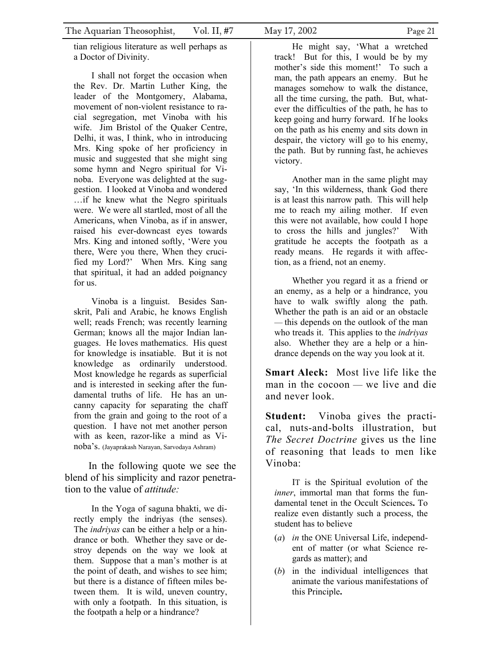tian religious literature as well perhaps as a Doctor of Divinity.

I shall not forget the occasion when the Rev. Dr. Martin Luther King, the leader of the Montgomery, Alabama, movement of non-violent resistance to racial segregation, met Vinoba with his wife. Jim Bristol of the Quaker Centre, Delhi, it was, I think, who in introducing Mrs. King spoke of her proficiency in music and suggested that she might sing some hymn and Negro spiritual for Vinoba. Everyone was delighted at the suggestion. I looked at Vinoba and wondered …if he knew what the Negro spirituals were. We were all startled, most of all the Americans, when Vinoba, as if in answer, raised his ever-downcast eyes towards Mrs. King and intoned softly, 'Were you there, Were you there, When they crucified my Lord?' When Mrs. King sang that spiritual, it had an added poignancy for us.

Vinoba is a linguist. Besides Sanskrit, Pali and Arabic, he knows English well; reads French; was recently learning German; knows all the major Indian languages. He loves mathematics. His quest for knowledge is insatiable. But it is not knowledge as ordinarily understood. Most knowledge he regards as superficial and is interested in seeking after the fundamental truths of life. He has an uncanny capacity for separating the chaff from the grain and going to the root of a question. I have not met another person with as keen, razor-like a mind as Vinoba's. (Jayaprakash Narayan, Sarvodaya Ashram)

In the following quote we see the blend of his simplicity and razor penetration to the value of *attitude:* 

In the Yoga of saguna bhakti, we directly emply the indriyas (the senses). The *indriyas* can be either a help or a hindrance or both. Whether they save or destroy depends on the way we look at them. Suppose that a man's mother is at the point of death, and wishes to see him; but there is a distance of fifteen miles between them. It is wild, uneven country, with only a footpath. In this situation, is the footpath a help or a hindrance?

He might say, 'What a wretched track! But for this, I would be by my mother's side this moment!' To such a man, the path appears an enemy. But he manages somehow to walk the distance, all the time cursing, the path. But, whatever the difficulties of the path, he has to keep going and hurry forward. If he looks on the path as his enemy and sits down in despair, the victory will go to his enemy, the path. But by running fast, he achieves victory.

Another man in the same plight may say, 'In this wilderness, thank God there is at least this narrow path. This will help me to reach my ailing mother. If even this were not available, how could I hope to cross the hills and jungles?' With gratitude he accepts the footpath as a ready means. He regards it with affection, as a friend, not an enemy.

Whether you regard it as a friend or an enemy, as a help or a hindrance, you have to walk swiftly along the path. Whether the path is an aid or an obstacle — this depends on the outlook of the man who treads it. This applies to the *indriyas*  also. Whether they are a help or a hindrance depends on the way you look at it.

**Smart Aleck:** Most live life like the man in the cocoon — we live and die and never look.

**Student:** Vinoba gives the practical, nuts-and-bolts illustration, but *The Secret Doctrine* gives us the line of reasoning that leads to men like Vinoba:

IT is the Spiritual evolution of the *inner*, immortal man that forms the fundamental tenet in the Occult Sciences**.** To realize even distantly such a process, the student has to believe

- (*a*) *in* the ONE Universal Life, independent of matter (or what Science regards as matter); and
- (*b*) in the individual intelligences that animate the various manifestations of this Principle**.**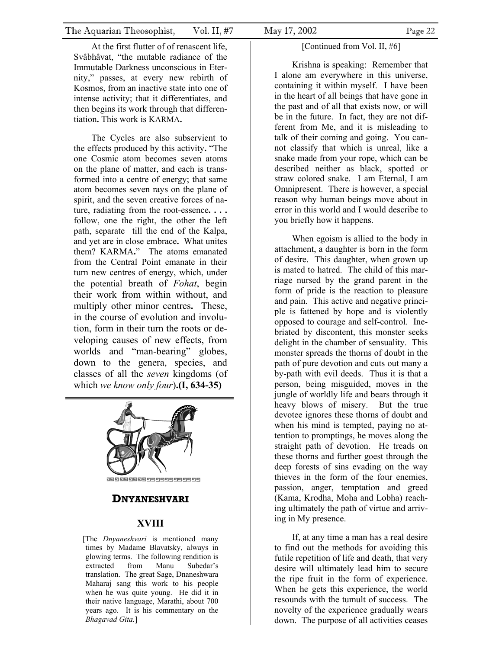At the first flutter of of renascent life, Svâbhâvat, "the mutable radiance of the Immutable Darkness unconscious in Eternity," passes, at every new rebirth of Kosmos, from an inactive state into one of intense activity; that it differentiates, and then begins its work through that differentiation**.** This work is KARMA**.**

The Cycles are also subservient to the effects produced by this activity**.** "The one Cosmic atom becomes seven atoms on the plane of matter, and each is transformed into a centre of energy; that same atom becomes seven rays on the plane of spirit, and the seven creative forces of nature, radiating from the root-essence**. . . .**  follow, one the right, the other the left path, separate till the end of the Kalpa, and yet are in close embrace**.** What unites them? KARMA**.**" The atoms emanated from the Central Point emanate in their turn new centres of energy, which, under the potential breath of *Fohat*, begin their work from within without, and multiply other minor centres**.** These, in the course of evolution and involution, form in their turn the roots or developing causes of new effects, from worlds and "man-bearing" globes, down to the genera, species, and classes of all the *seven* kingdoms (of which *we know only four*)**.(I, 634-35)**



2999999999999999999999

#### **DNYANESHVARI**

#### **XVIII**

[The *Dnyaneshvari* is mentioned many times by Madame Blavatsky, always in glowing terms. The following rendition is extracted from Manu Subedar's translation. The great Sage, Dnaneshwara Maharaj sang this work to his people when he was quite young. He did it in their native language, Marathi, about 700 years ago. It is his commentary on the *Bhagavad Gita.*]

#### [Continued from Vol. II, #6]

Krishna is speaking: Remember that I alone am everywhere in this universe, containing it within myself. I have been in the heart of all beings that have gone in the past and of all that exists now, or will be in the future. In fact, they are not different from Me, and it is misleading to talk of their coming and going. You cannot classify that which is unreal, like a snake made from your rope, which can be described neither as black, spotted or straw colored snake. I am Eternal, I am Omnipresent. There is however, a special reason why human beings move about in error in this world and I would describe to you briefly how it happens.

When egoism is allied to the body in attachment, a daughter is born in the form of desire. This daughter, when grown up is mated to hatred. The child of this marriage nursed by the grand parent in the form of pride is the reaction to pleasure and pain. This active and negative principle is fattened by hope and is violently opposed to courage and self-control. Inebriated by discontent, this monster seeks delight in the chamber of sensuality. This monster spreads the thorns of doubt in the path of pure devotion and cuts out many a by-path with evil deeds. Thus it is that a person, being misguided, moves in the jungle of worldly life and bears through it heavy blows of misery. But the true devotee ignores these thorns of doubt and when his mind is tempted, paying no attention to promptings, he moves along the straight path of devotion. He treads on these thorns and further goest through the deep forests of sins evading on the way thieves in the form of the four enemies, passion, anger, temptation and greed (Kama, Krodha, Moha and Lobha) reaching ultimately the path of virtue and arriving in My presence.

If, at any time a man has a real desire to find out the methods for avoiding this futile repetition of life and death, that very desire will ultimately lead him to secure the ripe fruit in the form of experience. When he gets this experience, the world resounds with the tumult of success. The novelty of the experience gradually wears down. The purpose of all activities ceases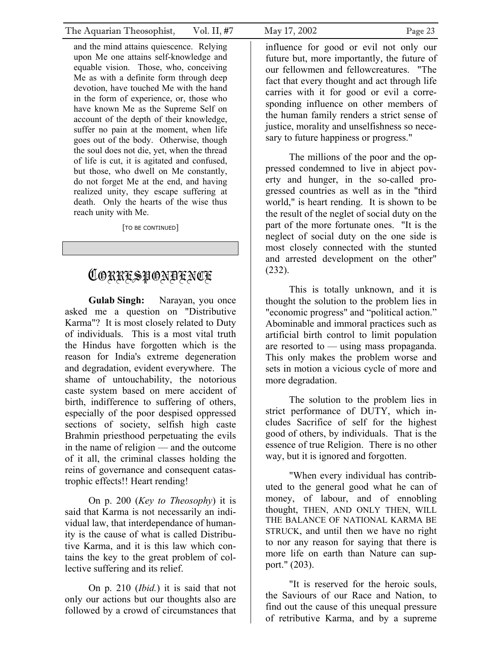and the mind attains quiescence. Relying upon Me one attains self-knowledge and equable vision. Those, who, conceiving Me as with a definite form through deep devotion, have touched Me with the hand in the form of experience, or, those who have known Me as the Supreme Self on account of the depth of their knowledge, suffer no pain at the moment, when life goes out of the body. Otherwise, though the soul does not die, yet, when the thread of life is cut, it is agitated and confused, but those, who dwell on Me constantly, do not forget Me at the end, and having realized unity, they escape suffering at death. Only the hearts of the wise thus reach unity with Me.

[TO BE CONTINUED]

# CORRESPONDENCE

**Gulab Singh:** Narayan, you once asked me a question on "Distributive Karma"? It is most closely related to Duty of individuals. This is a most vital truth the Hindus have forgotten which is the reason for India's extreme degeneration and degradation, evident everywhere. The shame of untouchability, the notorious caste system based on mere accident of birth, indifference to suffering of others, especially of the poor despised oppressed sections of society, selfish high caste Brahmin priesthood perpetuating the evils in the name of religion — and the outcome of it all, the criminal classes holding the reins of governance and consequent catastrophic effects!! Heart rending!

On p. 200 (*Key to Theosophy*) it is said that Karma is not necessarily an individual law, that interdependance of humanity is the cause of what is called Distributive Karma, and it is this law which contains the key to the great problem of collective suffering and its relief.

On p. 210 (*Ibid.*) it is said that not only our actions but our thoughts also are followed by a crowd of circumstances that

influence for good or evil not only our future but, more importantly, the future of our fellowmen and fellowcreatures. "The fact that every thought and act through life carries with it for good or evil a corresponding influence on other members of the human family renders a strict sense of justice, morality and unselfishness so necesary to future happiness or progress."

The millions of the poor and the oppressed condemned to live in abject poverty and hunger, in the so-called progressed countries as well as in the "third world," is heart rending. It is shown to be the result of the neglet of social duty on the part of the more fortunate ones. "It is the neglect of social duty on the one side is most closely connected with the stunted and arrested development on the other" (232).

This is totally unknown, and it is thought the solution to the problem lies in "economic progress" and "political action." Abominable and immoral practices such as artificial birth control to limit population are resorted to — using mass propaganda. This only makes the problem worse and sets in motion a vicious cycle of more and more degradation.

The solution to the problem lies in strict performance of DUTY, which includes Sacrifice of self for the highest good of others, by individuals. That is the essence of true Religion. There is no other way, but it is ignored and forgotten.

"When every individual has contributed to the general good what he can of money, of labour, and of ennobling thought, THEN, AND ONLY THEN, WILL THE BALANCE OF NATIONAL KARMA BE STRUCK, and until then we have no right to nor any reason for saying that there is more life on earth than Nature can support." (203).

"It is reserved for the heroic souls, the Saviours of our Race and Nation, to find out the cause of this unequal pressure of retributive Karma, and by a supreme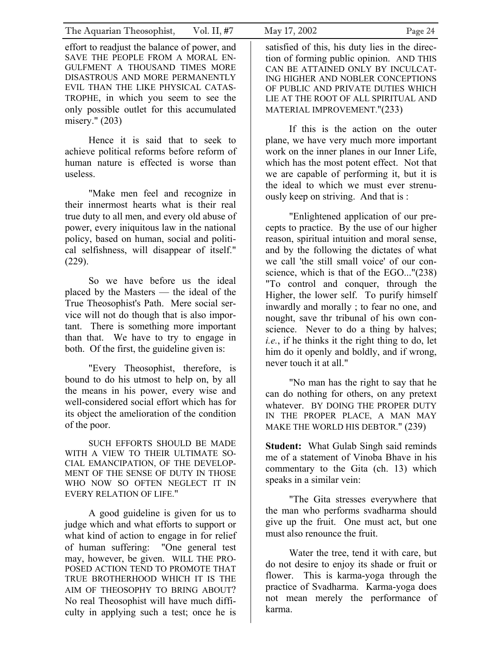effort to readjust the balance of power, and SAVE THE PEOPLE FROM A MORAL EN-GULFMENT A THOUSAND TIMES MORE DISASTROUS AND MORE PERMANENTLY EVIL THAN THE LIKE PHYSICAL CATAS-TROPHE, in which you seem to see the only possible outlet for this accumulated misery." (203)

Hence it is said that to seek to achieve political reforms before reform of human nature is effected is worse than useless.

"Make men feel and recognize in their innermost hearts what is their real true duty to all men, and every old abuse of power, every iniquitous law in the national policy, based on human, social and political selfishness, will disappear of itself." (229).

So we have before us the ideal placed by the Masters — the ideal of the True Theosophist's Path. Mere social service will not do though that is also important. There is something more important than that. We have to try to engage in both. Of the first, the guideline given is:

"Every Theosophist, therefore, is bound to do his utmost to help on, by all the means in his power, every wise and well-considered social effort which has for its object the amelioration of the condition of the poor.

SUCH EFFORTS SHOULD BE MADE WITH A VIEW TO THEIR ULTIMATE SO-CIAL EMANCIPATION, OF THE DEVELOP-MENT OF THE SENSE OF DUTY IN THOSE WHO NOW SO OFTEN NEGLECT IT IN EVERY RELATION OF LIFE."

A good guideline is given for us to judge which and what efforts to support or what kind of action to engage in for relief of human suffering: "One general test may, however, be given. WILL THE PRO-POSED ACTION TEND TO PROMOTE THAT TRUE BROTHERHOOD WHICH IT IS THE AIM OF THEOSOPHY TO BRING ABOUT? No real Theosophist will have much difficulty in applying such a test; once he is

satisfied of this, his duty lies in the direction of forming public opinion. AND THIS CAN BE ATTAINED ONLY BY INCULCAT-ING HIGHER AND NOBLER CONCEPTIONS OF PUBLIC AND PRIVATE DUTIES WHICH LIE AT THE ROOT OF ALL SPIRITUAL AND MATERIAL IMPROVEMENT."(233)

If this is the action on the outer plane, we have very much more important work on the inner planes in our Inner Life, which has the most potent effect. Not that we are capable of performing it, but it is the ideal to which we must ever strenuously keep on striving. And that is :

"Enlightened application of our precepts to practice. By the use of our higher reason, spiritual intuition and moral sense, and by the following the dictates of what we call 'the still small voice' of our conscience, which is that of the EGO..."(238) "To control and conquer, through the Higher, the lower self. To purify himself inwardly and morally ; to fear no one, and nought, save thr tribunal of his own conscience. Never to do a thing by halves; *i.e.*, if he thinks it the right thing to do, let him do it openly and boldly, and if wrong, never touch it at all."

"No man has the right to say that he can do nothing for others, on any pretext whatever. BY DOING THE PROPER DUTY IN THE PROPER PLACE, A MAN MAY MAKE THE WORLD HIS DEBTOR." (239)

**Student:** What Gulab Singh said reminds me of a statement of Vinoba Bhave in his commentary to the Gita (ch. 13) which speaks in a similar vein:

"The Gita stresses everywhere that the man who performs svadharma should give up the fruit. One must act, but one must also renounce the fruit.

Water the tree, tend it with care, but do not desire to enjoy its shade or fruit or flower. This is karma-yoga through the practice of Svadharma. Karma-yoga does not mean merely the performance of karma.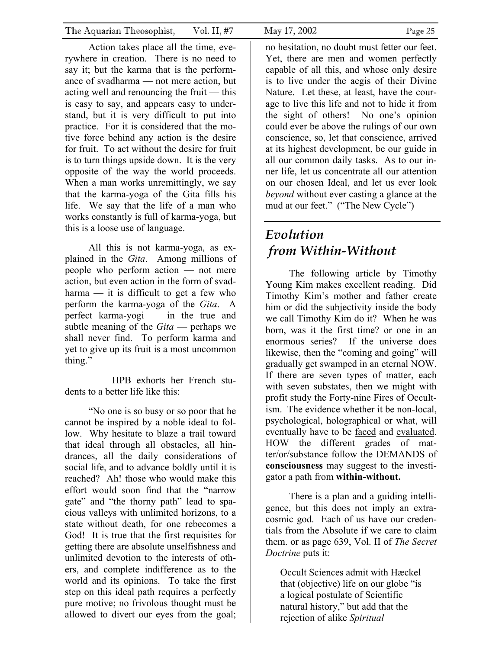Action takes place all the time, everywhere in creation. There is no need to say it; but the karma that is the performance of svadharma — not mere action, but acting well and renouncing the fruit — this is easy to say, and appears easy to understand, but it is very difficult to put into practice. For it is considered that the motive force behind any action is the desire for fruit. To act without the desire for fruit is to turn things upside down. It is the very opposite of the way the world proceeds. When a man works unremittingly, we say that the karma-yoga of the Gita fills his life. We say that the life of a man who works constantly is full of karma-yoga, but this is a loose use of language.

All this is not karma-yoga, as explained in the *Gita*. Among millions of people who perform action — not mere action, but even action in the form of svadharma — it is difficult to get a few who perform the karma-yoga of the *Gita*. A perfect karma-yogi — in the true and subtle meaning of the *Gita* — perhaps we shall never find. To perform karma and yet to give up its fruit is a most uncommon thing."

HPB exhorts her French students to a better life like this:

"No one is so busy or so poor that he cannot be inspired by a noble ideal to follow. Why hesitate to blaze a trail toward that ideal through all obstacles, all hindrances, all the daily considerations of social life, and to advance boldly until it is reached? Ah! those who would make this effort would soon find that the "narrow gate" and "the thorny path" lead to spacious valleys with unlimited horizons, to a state without death, for one rebecomes a God! It is true that the first requisites for getting there are absolute unselfishness and unlimited devotion to the interests of others, and complete indifference as to the world and its opinions. To take the first step on this ideal path requires a perfectly pure motive; no frivolous thought must be allowed to divert our eyes from the goal;

no hesitation, no doubt must fetter our feet. Yet, there are men and women perfectly capable of all this, and whose only desire is to live under the aegis of their Divine Nature. Let these, at least, have the courage to live this life and not to hide it from the sight of others! No one's opinion could ever be above the rulings of our own conscience, so, let that conscience, arrived at its highest development, be our guide in all our common daily tasks. As to our inner life, let us concentrate all our attention on our chosen Ideal, and let us ever look *beyond* without ever casting a glance at the mud at our feet." ("The New Cycle")

# *Evolution from Within-Without*

The following article by Timothy Young Kim makes excellent reading. Did Timothy Kim's mother and father create him or did the subjectivity inside the body we call Timothy Kim do it? When he was born, was it the first time? or one in an enormous series? If the universe does likewise, then the "coming and going" will gradually get swamped in an eternal NOW. If there are seven types of matter, each with seven substates, then we might with profit study the Forty-nine Fires of Occultism. The evidence whether it be non-local, psychological, holographical or what, will eventually have to be faced and evaluated. HOW the different grades of matter/or/substance follow the DEMANDS of **consciousness** may suggest to the investigator a path from **within-without.**

There is a plan and a guiding intelligence, but this does not imply an extracosmic god. Each of us have our credentials from the Absolute if we care to claim them. or as page 639, Vol. II of *The Secret Doctrine* puts it:

Occult Sciences admit with Hæckel that (objective) life on our globe "is a logical postulate of Scientific natural history," but add that the rejection of alike *Spiritual*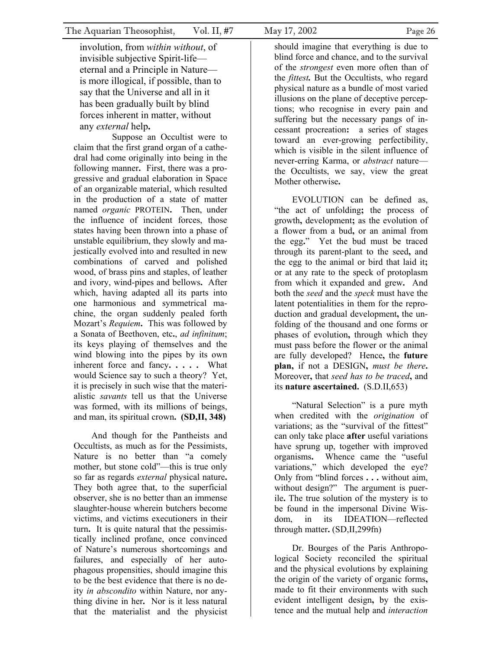involution, from *within without*, of invisible subjective Spirit-life eternal and a Principle in Nature is more illogical, if possible, than to say that the Universe and all in it has been gradually built by blind forces inherent in matter, without any *external* help**.**

Suppose an Occultist were to claim that the first grand organ of a cathedral had come originally into being in the following manner**.** First, there was a progressive and gradual elaboration in Space of an organizable material, which resulted in the production of a state of matter named *organic* PROTEIN**.** Then, under the influence of incident forces, those states having been thrown into a phase of unstable equilibrium, they slowly and majestically evolved into and resulted in new combinations of carved and polished wood, of brass pins and staples, of leather and ivory, wind-pipes and bellows**.** After which, having adapted all its parts into one harmonious and symmetrical machine, the organ suddenly pealed forth Mozart's *Requiem***.** This was followed by a Sonata of Beethoven, etc**.**, *ad infinitum*; its keys playing of themselves and the wind blowing into the pipes by its own inherent force and fancy**. . . . .** What would Science say to such a theory? Yet, it is precisely in such wise that the materialistic *savants* tell us that the Universe was formed, with its millions of beings, and man, its spiritual crown**. (SD,II, 348)**

And though for the Pantheists and Occultists, as much as for the Pessimists, Nature is no better than "a comely mother, but stone cold"—this is true only so far as regards *external* physical nature**.** They both agree that, to the superficial observer, she is no better than an immense slaughter-house wherein butchers become victims, and victims executioners in their turn**.** It is quite natural that the pessimistically inclined profane, once convinced of Nature's numerous shortcomings and failures, and especially of her autophagous propensities, should imagine this to be the best evidence that there is no deity *in abscondito* within Nature, nor anything divine in her**.** Nor is it less natural that the materialist and the physicist should imagine that everything is due to blind force and chance, and to the survival of the *strongest* even more often than of the *fittest.* But the Occultists, who regard physical nature as a bundle of most varied illusions on the plane of deceptive perceptions; who recognise in every pain and suffering but the necessary pangs of incessant procreation**:** a series of stages toward an ever-growing perfectibility, which is visible in the silent influence of never-erring Karma, or *abstract* nature the Occultists, we say, view the great Mother otherwise**.**

EVOLUTION can be defined as, "the act of unfolding**;** the process of growth**,** development**;** as the evolution of a flower from a bud**,** or an animal from the egg**.**" Yet the bud must be traced through its parent-plant to the seed**,** and the egg to the animal or bird that laid it**;** or at any rate to the speck of protoplasm from which it expanded and grew**.** And both the *seed* and the *speck* must have the latent potentialities in them for the reproduction and gradual development**,** the unfolding of the thousand and one forms or phases of evolution**,** through which they must pass before the flower or the animal are fully developed? Hence**,** the **future plan,** if not a DESIGN**,** *must be there***.** Moreover**,** that *seed has to be traced***,** and its **nature ascertained.** (S.D.II,653)

"Natural Selection" is a pure myth when credited with the *origination* of variations; as the "survival of the fittest" can only take place **after** useful variations have sprung up, together with improved organisms**.** Whence came the "useful variations," which developed the eye? Only from "blind forces **. . .** without aim, without design?" The argument is puerile**.** The true solution of the mystery is to be found in the impersonal Divine Wisdom, in its IDEATION—reflected through matter**.** (SD,II,299fn)

Dr. Bourges of the Paris Anthropological Society reconciled the spiritual and the physical evolutions by explaining the origin of the variety of organic forms**,** made to fit their environments with such evident intelligent design**,** by the existence and the mutual help and *interaction*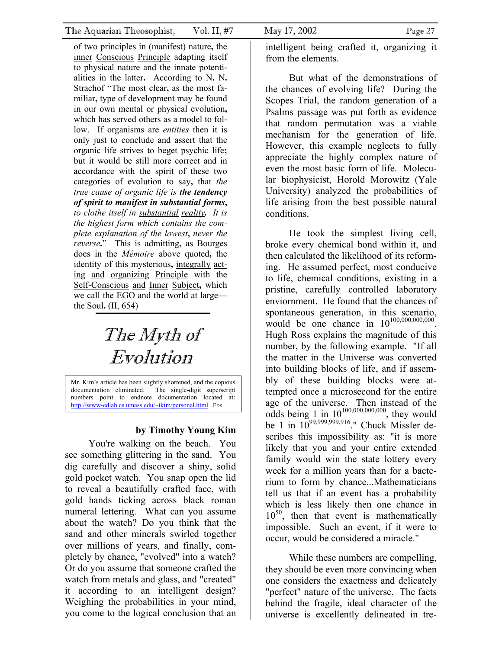of two principles in (manifest) nature**,** the inner Conscious Principle adapting itself to physical nature and the innate potentialities in the latter**.** According to N**.** N**.** Strachof "The most clear**,** as the most familiar**,** type of development may be found in our own mental or physical evolution**,** which has served others as a model to follow. If organisms are *entities* then it is only just to conclude and assert that the organic life strives to beget psychic life**;** but it would be still more correct and in accordance with the spirit of these two categories of evolution to say**,** that *the true cause of organic life is the tendency of spirit to manifest in substantial forms***,** *to clothe itself in substantial reality. It is the highest form which contains the complete explanation of the lowest***,** *never the reverse***.**" This is admitting**,** as Bourges does in the *Mémoire* above quoted**,** the identity of this mysterious**,** integrally acting and organizing Principle with the Self-Conscious and Inner Subject**,** which we call the EGO and the world at large the Soul**.** (II, 654)

# The Myth of Evolution

Mr. Kim's article has been slightly shortened, and the copious documentation eliminated. The single-digit superscript numbers point to endnote documentation located at: <http://www-edlab.cs.umass.edu/~tkim/personal.html>EDS.

#### **by Timothy Young Kim**

You're walking on the beach. You see something glittering in the sand. You dig carefully and discover a shiny, solid gold pocket watch. You snap open the lid to reveal a beautifully crafted face, with gold hands ticking across black roman numeral lettering. What can you assume about the watch? Do you think that the sand and other minerals swirled together over millions of years, and finally, completely by chance, "evolved" into a watch? Or do you assume that someone crafted the watch from metals and glass, and "created" it according to an intelligent design? Weighing the probabilities in your mind, you come to the logical conclusion that an

intelligent being crafted it, organizing it from the elements.

But what of the demonstrations of the chances of evolving life? During the Scopes Trial, the random generation of a Psalms passage was put forth as evidence that random permutation was a viable mechanism for the generation of life. However, this example neglects to fully appreciate the highly complex nature of even the most basic form of life. Molecular biophysicist, Horold Morowitz (Yale University) analyzed the probabilities of life arising from the best possible natural conditions.

He took the simplest living cell, broke every chemical bond within it, and then calculated the likelihood of its reforming. He assumed perfect, most conducive to life, chemical conditions, existing in a pristine, carefully controlled laboratory enviornment. He found that the chances of spontaneous generation, in this scenario, would be one chance in  $10^{100,000,000,000}$ . Hugh Ross explains the magnitude of this number, by the following example. "If all the matter in the Universe was converted into building blocks of life, and if assembly of these building blocks were attempted once a microsecond for the entire age of the universe. Then instead of the odds being 1 in  $10^{100,000,000,000}$ , they would be 1 in  $10^{99,999,999,916}$ ." Chuck Missler describes this impossibility as: "it is more likely that you and your entire extended family would win the state lottery every week for a million years than for a bacterium to form by chance...Mathematicians tell us that if an event has a probability which is less likely then one chance in  $10^{50}$ , then that event is mathematically impossible. Such an event, if it were to occur, would be considered a miracle."

While these numbers are compelling, they should be even more convincing when one considers the exactness and delicately "perfect" nature of the universe. The facts behind the fragile, ideal character of the universe is excellently delineated in tre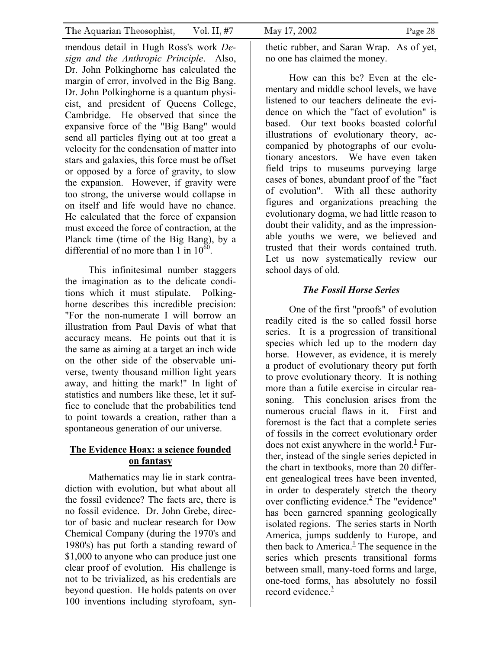mendous detail in Hugh Ross's work *Design and the Anthropic Principle*. Also, Dr. John Polkinghorne has calculated the margin of error, involved in the Big Bang. Dr. John Polkinghorne is a quantum physicist, and president of Queens College, Cambridge. He observed that since the expansive force of the "Big Bang" would send all particles flying out at too great a velocity for the condensation of matter into stars and galaxies, this force must be offset or opposed by a force of gravity, to slow the expansion. However, if gravity were too strong, the universe would collapse in on itself and life would have no chance. He calculated that the force of expansion must exceed the force of contraction, at the Planck time (time of the Big Bang), by a differential of no more than 1 in  $10^{60}$ .

This infinitesimal number staggers the imagination as to the delicate conditions which it must stipulate. Polkinghorne describes this incredible precision: "For the non-numerate I will borrow an illustration from Paul Davis of what that accuracy means. He points out that it is the same as aiming at a target an inch wide on the other side of the observable universe, twenty thousand million light years away, and hitting the mark!" In light of statistics and numbers like these, let it suffice to conclude that the probabilities tend to point towards a creation, rather than a spontaneous generation of our universe.

#### **The Evidence Hoax: a science founded on fantasy**

Mathematics may lie in stark contradiction with evolution, but what about all the fossil evidence? The facts are, there is no fossil evidence. Dr. John Grebe, director of basic and nuclear research for Dow Chemical Company (during the 1970's and 1980's) has put forth a standing reward of \$1,000 to anyone who can produce just one clear proof of evolution. His challenge is not to be trivialized, as his credentials are beyond question. He holds patents on over 100 inventions including styrofoam, synthetic rubber, and Saran Wrap. As of yet, no one has claimed the money.

How can this be? Even at the elementary and middle school levels, we have listened to our teachers delineate the evidence on which the "fact of evolution" is based. Our text books boasted colorful illustrations of evolutionary theory, accompanied by photographs of our evolutionary ancestors. We have even taken field trips to museums purveying large cases of bones, abundant proof of the "fact of evolution". With all these authority figures and organizations preaching the evolutionary dogma, we had little reason to doubt their validity, and as the impressionable youths we were, we believed and trusted that their words contained truth. Let us now systematically review our school days of old.

#### *The Fossil Horse Series*

One of the first "proofs" of evolution readily cited is the so called fossil horse series. It is a progression of transitional species which led up to the modern day horse. However, as evidence, it is merely a product of evolutionary theory put forth to prove evolutionary theory. It is nothing more than a futile exercise in circular reasoning. This conclusion arises from the numerous crucial flaws in it. First and foremost is the fact that a complete series of fossils in the correct evolutionary order does not exist anywhere in the world. $<sup>1</sup>$  Fur-</sup> ther, instead of the single series depicted in the chart in textbooks, more than 20 different genealogical trees have been invented, in order to desperately stretch the theory over conflicting evidence.<sup>2</sup> The "evidence" has been garnered spanning geologically isolated regions. The series starts in North America, jumps suddenly to Europe, and then back to America. $\frac{1}{1}$  $\frac{1}{1}$  $\frac{1}{1}$  The sequence in the series which presents transitional forms between small, many-toed forms and large, one-toed forms, has absolutely no fossil record evidence.<sup>3</sup>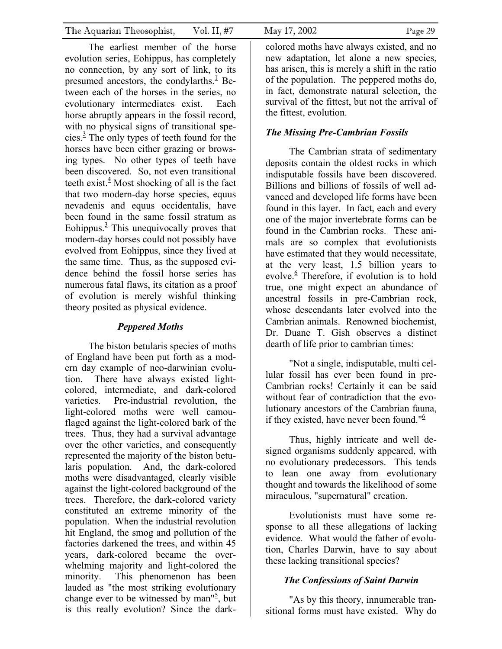The earliest member of the horse evolution series, Eohippus, has completely no connection, by any sort of link, to its presumed ancestors, the condylarths. $\frac{1}{1}$  $\frac{1}{1}$  $\frac{1}{1}$  Between each of the horses in the series, no evolutionary intermediates exist. Each horse abruptly appears in the fossil record, with no physical signs of transitional species.[3](c:\#Wheeler\OFFICE\Z-AQUARIAN\notevol.html) The only types of teeth found for the horses have been either grazing or browsing types. No other types of teeth have been discovered. So, not even transitional teeth exist. $\frac{4}{3}$  Most shocking of all is the fact that two modern-day horse species, equus nevadenis and equus occidentalis, have been found in the same fossil stratum as Eohippus. $3$  This unequivocally proves that modern-day horses could not possibly have evolved from Eohippus, since they lived at the same time. Thus, as the supposed evidence behind the fossil horse series has numerous fatal flaws, its citation as a proof of evolution is merely wishful thinking theory posited as physical evidence.

#### *Peppered Moths*

The biston betularis species of moths of England have been put forth as a modern day example of neo-darwinian evolution. There have always existed lightcolored, intermediate, and dark-colored varieties. Pre-industrial revolution, the light-colored moths were well camouflaged against the light-colored bark of the trees. Thus, they had a survival advantage over the other varieties, and consequently represented the majority of the biston betularis population. And, the dark-colored moths were disadvantaged, clearly visible against the light-colored background of the trees. Therefore, the dark-colored variety constituted an extreme minority of the population. When the industrial revolution hit England, the smog and pollution of the factories darkened the trees, and within 45 years, dark-colored became the overwhelming majority and light-colored the minority. This phenomenon has been lauded as "the most striking evolutionary change ever to be witnessed by man"<sup>[5](c:\#Wheeler\OFFICE\Z-AQUARIAN\notevol.html)</sup>, but is this really evolution? Since the dark-

colored moths have always existed, and no new adaptation, let alone a new species, has arisen, this is merely a shift in the ratio of the population. The peppered moths do, in fact, demonstrate natural selection, the survival of the fittest, but not the arrival of the fittest, evolution.

#### *The Missing Pre-Cambrian Fossils*

The Cambrian strata of sedimentary deposits contain the oldest rocks in which indisputable fossils have been discovered. Billions and billions of fossils of well advanced and developed life forms have been found in this layer. In fact, each and every one of the major invertebrate forms can be found in the Cambrian rocks. These animals are so complex that evolutionists have estimated that they would necessitate, at the very least, 1.5 billion years to evolve.<sup>6</sup> Therefore, if evolution is to hold true, one might expect an abundance of ancestral fossils in pre-Cambrian rock, whose descendants later evolved into the Cambrian animals. Renowned biochemist, Dr. Duane T. Gish observes a distinct dearth of life prior to cambrian times:

"Not a single, indisputable, multi cellular fossil has ever been found in pre-Cambrian rocks! Certainly it can be said without fear of contradiction that the evolutionary ancestors of the Cambrian fauna, if they existed, have never been found." $6$ 

Thus, highly intricate and well designed organisms suddenly appeared, with no evolutionary predecessors. This tends to lean one away from evolutionary thought and towards the likelihood of some miraculous, "supernatural" creation.

Evolutionists must have some response to all these allegations of lacking evidence. What would the father of evolution, Charles Darwin, have to say about these lacking transitional species?

#### *The Confessions of Saint Darwin*

"As by this theory, innumerable transitional forms must have existed. Why do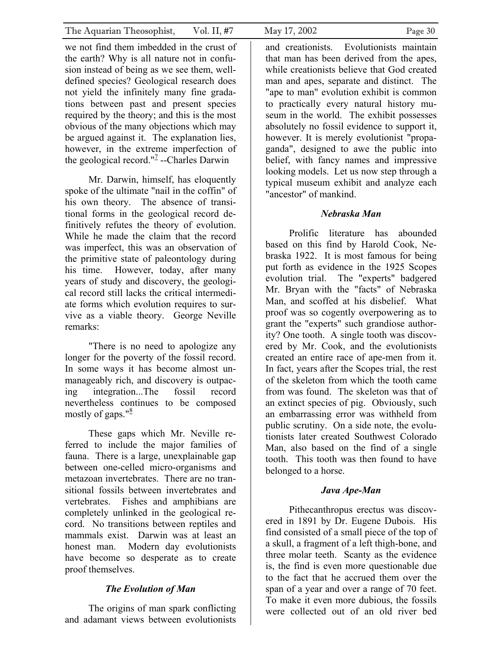we not find them imbedded in the crust of the earth? Why is all nature not in confusion instead of being as we see them, welldefined species? Geological research does not yield the infinitely many fine gradations between past and present species required by the theory; and this is the most obvious of the many objections which may be argued against it. The explanation lies, however, in the extreme imperfection of the geological record."<sup>2</sup> --Charles Darwin

Mr. Darwin, himself, has eloquently spoke of the ultimate "nail in the coffin" of his own theory. The absence of transitional forms in the geological record definitively refutes the theory of evolution. While he made the claim that the record was imperfect, this was an observation of the primitive state of paleontology during his time. However, today, after many years of study and discovery, the geological record still lacks the critical intermediate forms which evolution requires to survive as a viable theory. George Neville remarks:

"There is no need to apologize any longer for the poverty of the fossil record. In some ways it has become almost unmanageably rich, and discovery is outpacing integration...The fossil record nevertheless continues to be composed mostly of gaps."<sup>[8](c:\#Wheeler\OFFICE\Z-AQUARIAN\notevol.html)</sup>

These gaps which Mr. Neville referred to include the major families of fauna. There is a large, unexplainable gap between one-celled micro-organisms and metazoan invertebrates. There are no transitional fossils between invertebrates and vertebrates. Fishes and amphibians are completely unlinked in the geological record. No transitions between reptiles and mammals exist. Darwin was at least an honest man. Modern day evolutionists have become so desperate as to create proof themselves.

#### *The Evolution of Man*

The origins of man spark conflicting and adamant views between evolutionists

and creationists. Evolutionists maintain that man has been derived from the apes, while creationists believe that God created man and apes, separate and distinct. The "ape to man" evolution exhibit is common to practically every natural history museum in the world. The exhibit possesses absolutely no fossil evidence to support it, however. It is merely evolutionist "propaganda", designed to awe the public into belief, with fancy names and impressive looking models. Let us now step through a typical museum exhibit and analyze each "ancestor" of mankind.

#### *Nebraska Man*

Prolific literature has abounded based on this find by Harold Cook, Nebraska 1922. It is most famous for being put forth as evidence in the 1925 Scopes evolution trial. The "experts" badgered Mr. Bryan with the "facts" of Nebraska Man, and scoffed at his disbelief. What proof was so cogently overpowering as to grant the "experts" such grandiose authority? One tooth. A single tooth was discovered by Mr. Cook, and the evolutionists created an entire race of ape-men from it. In fact, years after the Scopes trial, the rest of the skeleton from which the tooth came from was found. The skeleton was that of an extinct species of pig. Obviously, such an embarrassing error was withheld from public scrutiny. On a side note, the evolutionists later created Southwest Colorado Man, also based on the find of a single tooth. This tooth was then found to have belonged to a horse.

#### *Java Ape-Man*

Pithecanthropus erectus was discovered in 1891 by Dr. Eugene Dubois. His find consisted of a small piece of the top of a skull, a fragment of a left thigh-bone, and three molar teeth. Scanty as the evidence is, the find is even more questionable due to the fact that he accrued them over the span of a year and over a range of 70 feet. To make it even more dubious, the fossils were collected out of an old river bed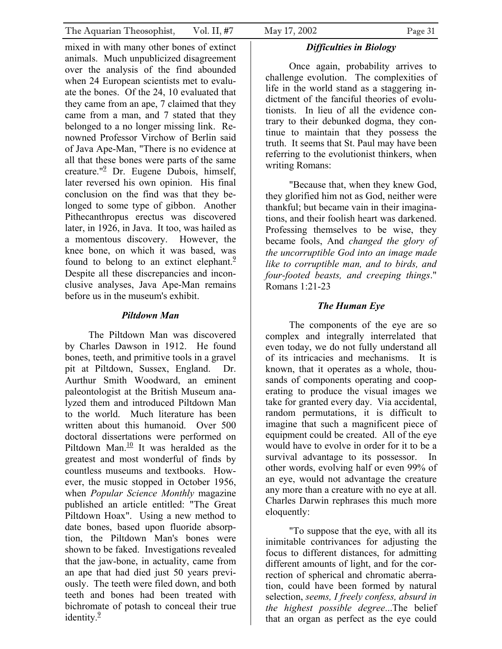mixed in with many other bones of extinct animals. Much unpublicized disagreement over the analysis of the find abounded when 24 European scientists met to evaluate the bones. Of the 24, 10 evaluated that they came from an ape, 7 claimed that they came from a man, and 7 stated that they belonged to a no longer missing link. Renowned Professor Virchow of Berlin said of Java Ape-Man, "There is no evidence at all that these bones were parts of the same creature."[9](c:\#Wheeler\OFFICE\Z-AQUARIAN\notevol.html) Dr. Eugene Dubois, himself, later reversed his own opinion. His final conclusion on the find was that they belonged to some type of gibbon. Another Pithecanthropus erectus was discovered later, in 1926, in Java. It too, was hailed as a momentous discovery. However, the knee bone, on which it was based, was found to belong to an extinct elephant. $\frac{9}{2}$ Despite all these discrepancies and inconclusive analyses, Java Ape-Man remains before us in the museum's exhibit.

#### *Piltdown Man*

The Piltdown Man was discovered by Charles Dawson in 1912. He found bones, teeth, and primitive tools in a gravel pit at Piltdown, Sussex, England. Dr. Aurthur Smith Woodward, an eminent paleontologist at the British Museum analyzed them and introduced Piltdown Man to the world. Much literature has been written about this humanoid. Over 500 doctoral dissertations were performed on Piltdown Man. $\frac{10}{10}$  $\frac{10}{10}$  $\frac{10}{10}$  It was heralded as the greatest and most wonderful of finds by countless museums and textbooks. However, the music stopped in October 1956, when *Popular Science Monthly* magazine published an article entitled: "The Great Piltdown Hoax". Using a new method to date bones, based upon fluoride absorption, the Piltdown Man's bones were shown to be faked. Investigations revealed that the jaw-bone, in actuality, came from an ape that had died just 50 years previously. The teeth were filed down, and both teeth and bones had been treated with bichromate of potash to conceal their true identity. $\frac{9}{2}$  $\frac{9}{2}$  $\frac{9}{2}$ 

#### *Difficulties in Biology*

Once again, probability arrives to challenge evolution. The complexities of life in the world stand as a staggering indictment of the fanciful theories of evolutionists. In lieu of all the evidence contrary to their debunked dogma, they continue to maintain that they possess the truth. It seems that St. Paul may have been referring to the evolutionist thinkers, when writing Romans:

"Because that, when they knew God, they glorified him not as God, neither were thankful; but became vain in their imaginations, and their foolish heart was darkened. Professing themselves to be wise, they became fools, And *changed the glory of the uncorruptible God into an image made like to corruptible man, and to birds, and four-footed beasts, and creeping things*." Romans 1:21-23

#### *The Human Eye*

The components of the eye are so complex and integrally interrelated that even today, we do not fully understand all of its intricacies and mechanisms. It is known, that it operates as a whole, thousands of components operating and cooperating to produce the visual images we take for granted every day. Via accidental, random permutations, it is difficult to imagine that such a magnificent piece of equipment could be created. All of the eye would have to evolve in order for it to be a survival advantage to its possessor. In other words, evolving half or even 99% of an eye, would not advantage the creature any more than a creature with no eye at all. Charles Darwin rephrases this much more eloquently:

"To suppose that the eye, with all its inimitable contrivances for adjusting the focus to different distances, for admitting different amounts of light, and for the correction of spherical and chromatic aberration, could have been formed by natural selection, *seems, I freely confess, absurd in the highest possible degree*...The belief that an organ as perfect as the eye could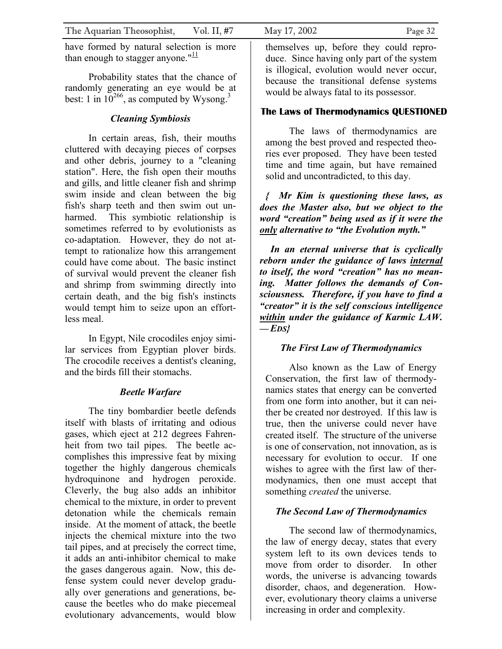have formed by natural selection is more than enough to stagger anyone." $\frac{11}{11}$ 

Probability states that the chance of randomly generating an eye would be at best: 1 in  $10^{266}$ , as computed by Wysong.<sup>3</sup>

#### *Cleaning Symbiosis*

In certain areas, fish, their mouths cluttered with decaying pieces of corpses and other debris, journey to a "cleaning station". Here, the fish open their mouths and gills, and little cleaner fish and shrimp swim inside and clean between the big fish's sharp teeth and then swim out unharmed. This symbiotic relationship is sometimes referred to by evolutionists as co-adaptation. However, they do not attempt to rationalize how this arrangement could have come about. The basic instinct of survival would prevent the cleaner fish and shrimp from swimming directly into certain death, and the big fish's instincts would tempt him to seize upon an effortless meal.

In Egypt, Nile crocodiles enjoy similar services from Egyptian plover birds. The crocodile receives a dentist's cleaning, and the birds fill their stomachs.

#### *Beetle Warfare*

The tiny bombardier beetle defends itself with blasts of irritating and odious gases, which eject at 212 degrees Fahrenheit from two tail pipes. The beetle accomplishes this impressive feat by mixing together the highly dangerous chemicals hydroquinone and hydrogen peroxide. Cleverly, the bug also adds an inhibitor chemical to the mixture, in order to prevent detonation while the chemicals remain inside. At the moment of attack, the beetle injects the chemical mixture into the two tail pipes, and at precisely the correct time, it adds an anti-inhibitor chemical to make the gases dangerous again. Now, this defense system could never develop gradually over generations and generations, because the beetles who do make piecemeal evolutionary advancements, would blow

themselves up, before they could reproduce. Since having only part of the system is illogical, evolution would never occur, because the transitional defense systems would be always fatal to its possessor.

#### **The Laws of Thermodynamics QUESTIONED**

The laws of thermodynamics are among the best proved and respected theories ever proposed. They have been tested time and time again, but have remained solid and uncontradicted, to this day.

*{ Mr Kim is questioning these laws, as does the Master also, but we object to the word "creation" being used as if it were the only alternative to "the Evolution myth."* 

 *In an eternal universe that is cyclically reborn under the guidance of laws internal to itself, the word "creation" has no meaning. Matter follows the demands of Consciousness. Therefore, if you have to find a "creator" it is the self conscious intelligence within under the guidance of Karmic LAW.*  $-E$ *DS* $\}$ 

#### *The First Law of Thermodynamics*

Also known as the Law of Energy Conservation, the first law of thermodynamics states that energy can be converted from one form into another, but it can neither be created nor destroyed. If this law is true, then the universe could never have created itself. The structure of the universe is one of conservation, not innovation, as is necessary for evolution to occur. If one wishes to agree with the first law of thermodynamics, then one must accept that something *created* the universe.

#### *The Second Law of Thermodynamics*

The second law of thermodynamics, the law of energy decay, states that every system left to its own devices tends to move from order to disorder. In other words, the universe is advancing towards disorder, chaos, and degeneration. However, evolutionary theory claims a universe increasing in order and complexity.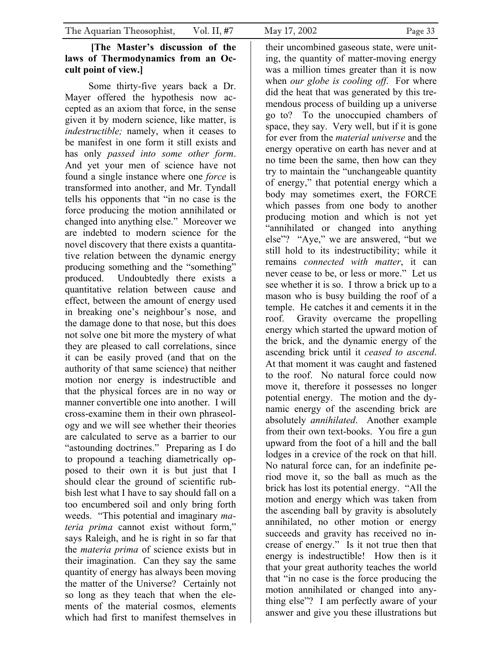#### **[The Master's discussion of the laws of Thermodynamics from an Occult point of view.]**

Some thirty-five years back a Dr. Mayer offered the hypothesis now accepted as an axiom that force, in the sense given it by modern science, like matter, is *indestructible;* namely, when it ceases to be manifest in one form it still exists and has only *passed into some other form*. And yet your men of science have not found a single instance where one *force* is transformed into another, and Mr. Tyndall tells his opponents that "in no case is the force producing the motion annihilated or changed into anything else." Moreover we are indebted to modern science for the novel discovery that there exists a quantitative relation between the dynamic energy producing something and the "something" produced. Undoubtedly there exists a quantitative relation between cause and effect, between the amount of energy used in breaking one's neighbour's nose, and the damage done to that nose, but this does not solve one bit more the mystery of what they are pleased to call correlations, since it can be easily proved (and that on the authority of that same science) that neither motion nor energy is indestructible and that the physical forces are in no way or manner convertible one into another. I will cross-examine them in their own phraseology and we will see whether their theories are calculated to serve as a barrier to our "astounding doctrines." Preparing as I do to propound a teaching diametrically opposed to their own it is but just that I should clear the ground of scientific rubbish lest what I have to say should fall on a too encumbered soil and only bring forth weeds. "This potential and imaginary *materia prima* cannot exist without form," says Raleigh, and he is right in so far that the *materia prima* of science exists but in their imagination. Can they say the same quantity of energy has always been moving the matter of the Universe? Certainly not so long as they teach that when the elements of the material cosmos, elements which had first to manifest themselves in

their uncombined gaseous state, were uniting, the quantity of matter-moving energy was a million times greater than it is now when *our globe is cooling off*. For where did the heat that was generated by this tremendous process of building up a universe go to? To the unoccupied chambers of space, they say. Very well, but if it is gone for ever from the *material universe* and the energy operative on earth has never and at no time been the same, then how can they try to maintain the "unchangeable quantity of energy," that potential energy which a body may sometimes exert, the FORCE which passes from one body to another producing motion and which is not yet "annihilated or changed into anything else"? "Aye," we are answered, "but we still hold to its indestructibility; while it remains *connected with matter*, it can never cease to be, or less or more." Let us see whether it is so. I throw a brick up to a mason who is busy building the roof of a temple. He catches it and cements it in the roof. Gravity overcame the propelling energy which started the upward motion of the brick, and the dynamic energy of the ascending brick until it *ceased to ascend*. At that moment it was caught and fastened to the roof. No natural force could now move it, therefore it possesses no longer potential energy. The motion and the dynamic energy of the ascending brick are absolutely *annihilated*. Another example from their own text-books. You fire a gun upward from the foot of a hill and the ball lodges in a crevice of the rock on that hill. No natural force can, for an indefinite period move it, so the ball as much as the brick has lost its potential energy. "All the motion and energy which was taken from the ascending ball by gravity is absolutely annihilated, no other motion or energy succeeds and gravity has received no increase of energy." Is it not true then that energy is indestructible! How then is it that your great authority teaches the world that "in no case is the force producing the motion annihilated or changed into anything else"? I am perfectly aware of your answer and give you these illustrations but